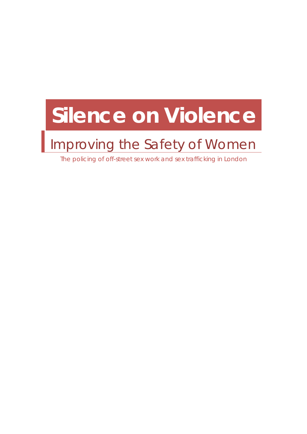# <span id="page-0-0"></span>**Silence on Violence**

# Improving the Safety of Women

The policing of off-street sex work and sex trafficking in London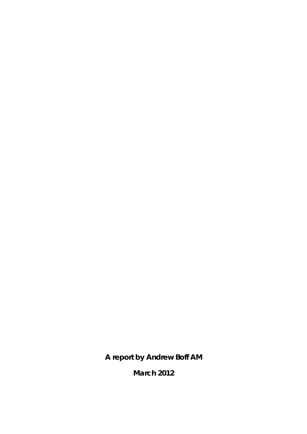**A report by Andrew Boff AM** 

**March 2012**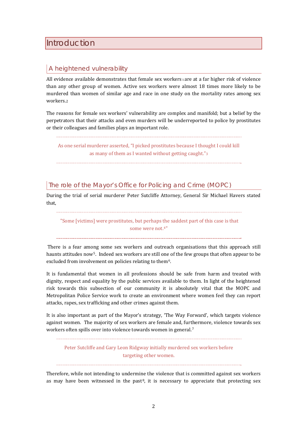# <span id="page-3-0"></span>**Introduction**

# A heightened vulnerability

All evidence available demonstrates that female sex workers are at a far higher risk of violence than any other group of women. Active sex workers were almost 18 times more likely to be murdered than women of similar age and race in one study on the mortality rates among sex workers.[2](#page-48-2)

The reasons for female sex workers' vulnerability are complex and manifold; but a belief by the perpetrators that their attacks and even murders will be underreported to police by prostitutes or their colleagues and families plays an important role.

As one serial murderer asserted, "I picked prostitutes because I thought I could kill as many of them as I wanted without getting caught."[3](#page-50-0)

# The role of the Mayor's Office for Policing and Crime (MOPC)

During the trial of serial murderer Peter Sutcliffe Attorney, General Sir Michael Havers stated that,

 "Some [victims] were prostitutes, but perhaps the saddest part of this case is that some were not.[4](#page-50-1)"

 There is a fear among some sex workers and outreach organisations that this approach still haunts attitudes now<sup>5</sup>. Indeed sex workers ar[e](#page-50-3) still one of the few groups that often appear to be excluded from involvement on policies relating to them<sup>6</sup>.

It is fundamental that women in all professions should be safe from harm and treated with dignity, respect and equality by the public services available to them. In light of the heightened risk towards this subsection of our community it is absolutely vital that the MOPC and Metropolitan Police Service work to create an environment where women feel they can report attacks, rapes, sex trafficking and other crimes against them.

It is also important as part of the Mayor's strategy, 'The Way Forward', which targets violence against women. The majority of sex workers are female and, fur[th](#page-50-4)ermore, violence towards sex workers often spills over into violence towards women in general.7

Peter Sutcliffe and Gary Leon Ridgway initially murdered sex workers before targeting other women.

Therefore, while not intending to undermine the violence that is committed against sex workers as may have been witnessed in the past<sup>8</sup>, it is necessary to appreciate that protecting sex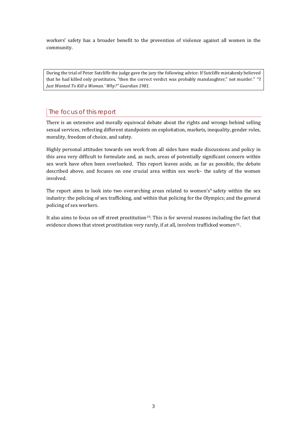workers' safety has a broader benefit to the prevention of violence against all women in the community.

During the trial of Peter Sutcliffe the judge gave the jury the following advice: If Sutcliffe mistakenly believed that he had killed only prostitutes, "then the correct verdict was probably manslaughter," not murder." *"'I Just Wanted To Kill a Woman.' Why?" Guardian 1981.*

# The focus of this report

There is an extensive and morally equivocal debate about the rights and wrongs behind selling sexual services, reflecting different standpoints on exploitation, markets, inequality, gender roles, morality, freedom of choice, and safety.

Highly personal attitudes towards sex work from all sides have made discussions and policy in this area very difficult to formulate and, as such, areas of potentially significant concern within sex work have often been overlooked. This report leaves aside, as far as possible, the debate described above, and focuses on one crucial area within sex work– the safety of the women involved.

The report aims to look into two overarching areas related to women's<sup>[9](#page-51-0)</sup> safety within the sex industry: the policing of sex trafficking, and within that policing for the Olympics; and the general policing of sex workers.

It also aims to focus on off street prostitution<sup>[1](#page-51-1)0</sup>. T[h](#page-51-2)is is for several reasons including the fact that evidence shows that street prostitution very rarely, if at all, involves trafficked women<sup>11</sup>.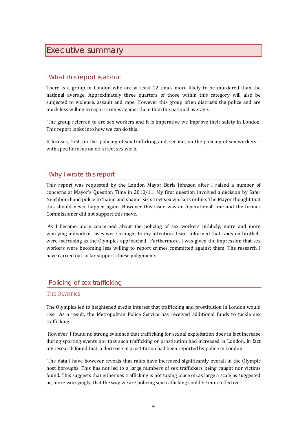# <span id="page-5-0"></span>Executive summary

# What this report is about

There is a group in London who are at least 12 times more likely to be murdered than the national average. Approximately three quarters of those within this category will also be subjected to violence, assault and rape. However this group often distrusts the police and are much less willing to report crimes against them than the national average.

 The group referred to are sex workers and it is imperative we improve their safety in London. This report looks into how we can do this.

It focuses, first, on the policing of sex trafficking and, second, on the policing of sex workers – with specific focus on off-street sex work.

# Why I wrote this report

This report was requested by the London Mayor Boris Johnson after I raised a number of concerns at Mayor's Question Time in 2010/11. My first question involved a decision by Safer Neighbourhood police to 'name and shame' six street sex workers online. The Mayor thought that this should never happen again. However this issue was an 'operational' one and the former Commissioner did not support this move.

As I became more concerned about the policing of sex workers publicly, more and more worrying individual cases were brought to my attention. I was informed that raids on brothels were increasing as the Olympics approached. Furthermore, I was given the impression that sex workers were becoming less willing to report crimes committed against them. The research I have carried out so far supports these judgements.

# Policing of sex trafficking

#### THE OLYMPICS

The Olympics led to heightened media interest that trafficking and prostitution in London would rise. As a result, the Metropolitan Police Service has received additional funds to tackle sex trafficking.

 However, I found no strong evidence that trafficking for sexual exploitation does in fact increase during sporting events nor that such trafficking or prostitution had increased in London. In fact my research found that a decrease in prostitution had been reported by police in London.

 The data I have however reveals that raids have increased significantly overall in the Olympic host boroughs. This has not led to a large numbers of sex traffickers being caught nor victims found. This suggests that either sex trafficking is not taking place on as large a scale as suggested or, more worryingly, that the way we are policing sex trafficking could be more effective.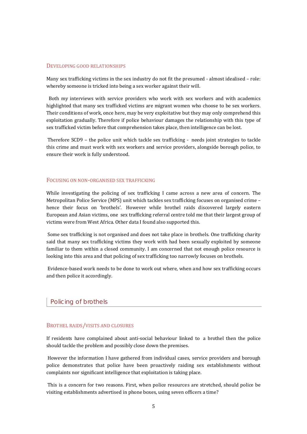#### DEVELOPING GOOD RELATIONSHIPS

Many sex trafficking victims in the sex industry do not fit the presumed - almost idealised – role: whereby someone is tricked into being a sex worker against their will.

 Both my interviews with service providers who work with sex workers and with academics highlighted that many sex trafficked victims are migrant women who choose to be sex workers. Their conditions of work, once here, may be very exploitative but they may only comprehend this exploitation gradually. Therefore if police behaviour damages the relationship with this type of sex trafficked victim before that comprehension takes place, then intelligence can be lost.

 Therefore SCD9 – the police unit which tackle sex trafficking - needs joint strategies to tackle this crime and must work with sex workers and service providers, alongside borough police, to ensure their work is fully understood.

#### FOCUSING ON NON-ORGANISED SEX TRAFFICKING

While investigating the policing of sex trafficking I came across a new area of concern. The Metropolitan Police Service (MPS) unit which tackles sex trafficking focuses on organised crime – hence their focus on 'brothels'. However while brothel raids discovered largely eastern European and Asian victims, one sex trafficking referral centre told me that their largest group of victims were from West Africa. Other data I found also supported this.

 Some sex trafficking is not organised and does not take place in brothels. One trafficking charity said that many sex trafficking victims they work with had been sexually exploited by someone familiar to them within a closed community. I am concerned that not enough police resource is looking into this area and that policing of sex trafficking too narrowly focuses on brothels.

 Evidence-based work needs to be done to work out where, when and how sex trafficking occurs and then police it accordingly.

#### Policing of brothels

#### BROTHEL RAIDS/VISITS AND CLOSURES

If residents have complained about anti-social behaviour linked to a brothel then the police should tackle the problem and possibly close down the premises.

 However the information I have gathered from individual cases, service providers and borough police demonstrates that police have been proactively raiding sex establishments without complaints nor significant intelligence that exploitation is taking place.

 This is a concern for two reasons. First, when police resources are stretched, should police be visiting establishments advertised in phone boxes, using seven officers a time?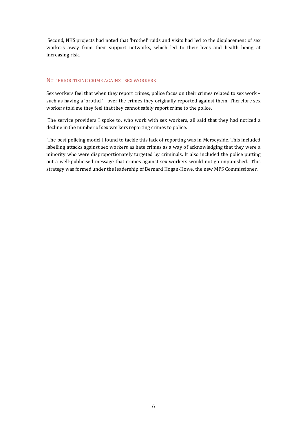Second, NHS projects had noted that 'brothel' raids and visits had led to the displacement of sex workers away from their support networks, which led to their lives and health being at increasing risk.

#### NOT PRIORITISING CRIME AGAINST SEX WORKERS

Sex workers feel that when they report crimes, police focus on their crimes related to sex work – such as having a 'brothel' - over the crimes they originally reported against them. Therefore sex workers told me they feel that they cannot safely report crime to the police.

 The service providers I spoke to, who work with sex workers, all said that they had noticed a decline in the number of sex workers reporting crimes to police.

 The best policing model I found to tackle this lack of reporting was in Merseyside. This included labelling attacks against sex workers as hate crimes as a way of acknowledging that they were a minority who were disproportionately targeted by criminals. It also included the police putting out a well-publicised message that crimes against sex workers would not go unpunished. This strategy was formed under the leadership of Bernard Hogan-Howe, the new MPS Commissioner.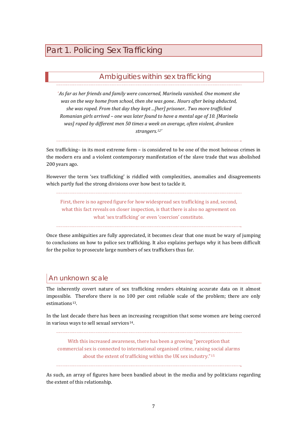# <span id="page-8-0"></span>Part 1. Policing Sex Trafficking

# Ambiguities within sex trafficking

'*As far as her friends and family were concerned, Marinela vanished. One moment she was on the way home from school, then she was gone.. Hours after being abducted, she was raped. From that day they kept ...[her] prisoner.. Two more trafficked Romanian girls arrived – one was later found to have a mental age of 10. [Marinela was] raped by different men 50 times a week on average, often violent, drunken strangers.[1](#page-66-0)2'*

Sex trafficking– in its most extreme form – is considered to be one of the most heinous crimes in the modern era and a violent contemporary manifestation of the slave trade that was abolished 200 years ago.

However the term 'sex trafficking' is riddled with complexities, anomalies and disagreements which partly fuel the strong divisions over how best to tackle it.

First, there is no agreed figure for how widespread sex trafficking is and, second, what this fact reveals on closer inspection, is that there is also no agreement on what 'sex trafficking' or even 'coercion' constitute.

Once these ambiguities are fully appreciated, it becomes clear that one must be wary of jumping to conclusions on how to police sex trafficking. It also explains perhaps why it has been difficult for the police to prosecute large numbers of sex traffickers thus far.

# An unknown scale

The inherently covert nature of sex trafficking renders obtaining accurate data on it almost impossible. Therefore there is no 100 per cent reliable scale of the problem; there are only estimations<sup>[13](#page-66-1)</sup>.

In the last decade there has been an increasing recognition that some women are being coerced in various ways to sell sexual services<sup>[14](#page-66-1)</sup>.

With this increased awareness, there has been a growing "perception that commercial sex is connected to international organised crime, raising social alarms about the extent of trafficking within the UK sex industry."[15](#page-66-1)

As such, an array of figures have been bandied about in the media and by politicians regarding the extent of this relationship.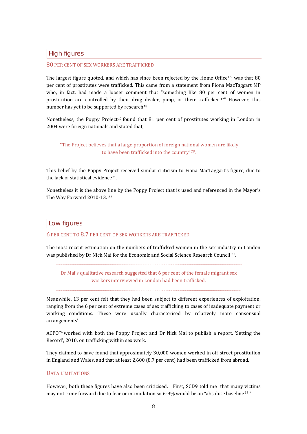High figures

#### 80 PER CENT OF SEX WORKERS ARE TRAFFICKED

The largest figure quoted, and which has since been rejected by the Home Office<sup>[1](#page-66-1)6</sup>, was that 80 per cent of prostitutes were trafficked. This came from a statement from Fiona MacTaggart MP who, in fact, had made a looser comment that "something like 80 per cent of women in prostitution are controlle[d](#page-66-1) by their drug dealer, pimp, or their trafficker.<sup>[17](#page-66-1)"</sup> However, this number has yet to be supported by research<sup>18</sup>.

Nonetheless, the Poppy Project<sup>[1](#page-66-1)9</sup> found that 81 per cent of prostitutes working in London in 2004 were foreign nationals and stated that,

 "The Project believes that a large proportion of foreign national women are likely to have been trafficked into the country"*[20](#page-66-1)*.

This belief by the Poppy Project received similar criticism to Fiona MacTaggart's figure, due to the lack of statistical evidence<sup>[2](#page-66-1)1</sup>.

Nonetheless it is the above line by the Poppy Project that is used and referenced in the Mayor's The Way Forward 2010-13. [2](#page-66-1)2

#### Low figures

6 PER CENT TO 8.7 PER CENT OF SEX WORKERS ARE TRAFFICKED

The most recent estimation on the numbers of trafficked women in the sex industry in London was published by Dr Nick Mai for the Economic and Social Science Research Council [23](#page-66-1).

Dr Mai's qualitative research suggested that 6 per cent of the female migrant sex workers interviewed in London had been trafficked.

Meanwhile, 13 per cent felt that they had been subject to different experiences of exploitation, ranging from the 6 per cent of extreme cases of sex trafficking to cases of inadequate payment or working conditions. These were usually characterised by relatively more consensual arrangements'.

ACPO[2](#page-66-1)4 worked with both the Poppy Project and Dr Nick Mai to publish a report, 'Setting the Record', 2010, on trafficking within sex work.

They claimed to have found that approximately 30,000 women worked in off-street prostitution in England and Wales, and that at least 2,600 (8.7 per cent) had been trafficked from abroad.

#### DATA LIMITATIONS

However, both these figures have also been criticised. First, SCD9 told me that many victims may not come forward due to fear or intimidation so 6-9% would be an "absolute baseline[25](#page-66-1)."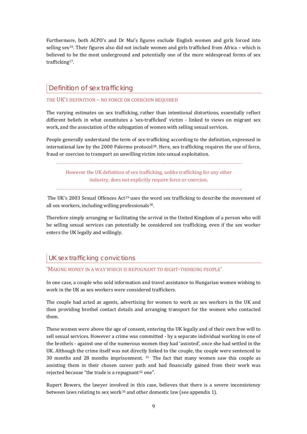Furthermore, both ACPO's and Dr Mai's figures exclude English women and girls forced into selling sex<sup>[26](#page-66-1)</sup>. Their figures also did not include women and girls trafficked from Africa – which is believed to be the most underground and potentially one of the more widespread forms of sex trafficking[2](#page-66-1)7.

# Definition of sex trafficking

#### THE UK'S DEFINITION – NO FORCE OR COERCION REQUIRED

The varying estimates on sex trafficking, rather than intentional distortions, essentially reflect different beliefs in what constitutes a 'sex-trafficked' victim - linked to views on migrant sex work, and the association of the subjugation of women with selling sexual services.

People generally understand the term of sex-trafficking according to the definition, expressed in international law by the [2](#page-66-1)000 Palermo protocol<sup>28</sup>. Here, sex trafficking requires the use of force, fraud or coercion to transport an unwilling victim into sexual exploitation.

However the UK definition of sex trafficking, unlike trafficking for any other industry, does not explicitly require force or coercion.

The UK's [2](#page-66-1)003 Sexual Offences  $Act^{29}$  uses the word sex trafficking to describe the movement of all sex workers, including willing professionals $30$  $30$ .

Therefore simply arranging or facilitating the arrival in the United Kingdom of a person who will be selling sexual services can potentially be considered sex trafficking, even if the sex worker enters the UK legally and willingly.

# UK sex trafficking convictions

#### 'MAKING MONEY IN A WAY WHICH IS REPUGNANT TO RIGHT-THINKING PEOPLE'

In one case, a couple who sold information and travel assistance to Hungarian women wishing to work in the UK as sex workers were considered traffickers.

The couple had acted as agents, advertising for women to work as sex workers in the UK and then providing brothel contact details and arranging transport for the women who contacted them.

These women were above the age of consent, entering the UK legally and of their own free will to sell sexual services. However a crime was committed - by a separate individual working in one of the brothels - against one of the numerous women they had 'assisted', once she had settled in the UK. Although the crime itself was not directly linked to the couple, the couple were sentenced to 30 months and 28 months imprisonment. [31](#page-66-1) The fact that many women saw this couple as assisting them in their chosen career path and had financially gained from their work was rejected because "the trade is a repugnant $32$  $32$  one".

Rupert Bowers, the lawyer involved in this case, believes that there is a severe inconsistency between laws relating to sex work<sup>[33](#page-66-1)</sup> and other domestic law (see appendix 1).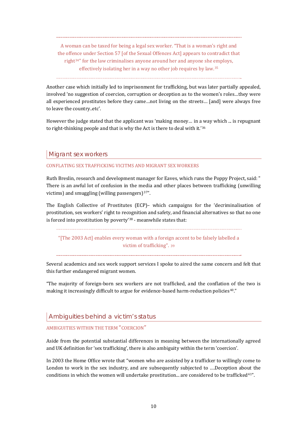A woman can be taxed for being a legal sex worker. "That is a woman's right and the offence under Section 57 [of the Sexual Offences Act] appears to contradict that right[34](#page-66-1)" for the law criminalises anyone around her and anyone she employs, effectively isolating her in a way no other job requires by law. [35](#page-66-1)

Another case which initially led to imprisonment for trafficking, but was later partially appealed, involved 'no suggestion of coercion, corruption or deception as to the women's roles…they were all experienced prostitutes before they came…not living on the streets… [and] were always free to leave the country..etc'.

However the judge stated that the applicant was 'making money… in a [w](#page-66-1)ay which ... is repugnant to right-thinking people and that is why the Act is there to deal with it.'36

## Migrant sex workers

#### CONFLATING SEX TRAFFICKING VICITMS AND MIGRANT SEX WORKERS

Ruth Breslin, research and development manager for Eaves, which runs the Poppy Project, said: " There is an awful lot of confusion in the media and other places between trafficking (unwilling victims) and smuggling (willing passengers) $37"$  $37"$ .

The English Collective of Prostitutes (ECP)– which campaigns for the 'decriminalisation of prostitution, sex workers' right to recognition and safety, and financial alternatives so that no one is forced into prostitution by poverty'[3](#page-66-1)8 - meanwhile states that:

"[The 2003 Act] enables every woman with a foreign accent to be falsely labelled a victim of trafficking". [39](#page-66-1)

Several academics and sex work support services I spoke to aired the same concern and felt that this further endangered migrant women.

"The majority of foreign-born sex workers are not trafficked, and the conflation of the two is making it increasingly difficult to argue for evidence-based harm-reduction policies<sup>[4](#page-66-1)0</sup>."

# Ambiguities behind a victim's status

#### AMBIGUITIES WITHIN THE TERM "COERCION"

Aside from the potential substantial differences in meaning between the internationally agreed and UK definition for 'sex trafficking', there is also ambiguity within the term 'coercion'.

In 2003 the Home Office wrote that "women who are assisted by a trafficker to willingly come to London to work in the sex industry, and are subsequently subjected to ….Deception about the conditions in which the women will undertake prostitution... are considered to be trafficked<sup>[41](#page-66-1)"</sup>.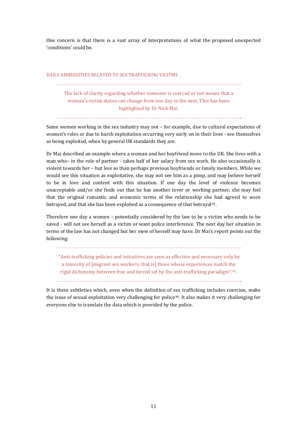One concern is that there is a vast array of interpretations of what the proposed unexpected 'conditions' could be.

#### DAILY AMBIGUITIES RELATED TO SEX TRAFFICKING VICITMS

The lack of clarity regarding whether someone is coerced or not means that a woman's victim status can change from one day to the next. This has been highlighted by Dr Nick Mai.

Some women working in the sex industry may not – for example, due to cultural expectations of women's roles or due to harsh exploitation occurring very early on in their lives - see themselves as being exploited, when by general UK standards they are.

Dr Mai described an example where a woman and her boyfriend move to the UK. She lives with a man who– in the role of partner - takes half of her salary from sex work. He also occasionally is violent towards her – but less so than perhaps previous boyfriends or family members. While we would see this situation as exploitative, she may not see him as a pimp, and may believe herself to be in love and content with this situation. If one day the level of violence becomes unacceptable and/or she finds out that he has another lover or working partner, she may feel that the original romantic and economic terms of the relationship she had agreed to were betrayed, and that she has been exploited as a consequence of that betrayal<sup>[4](#page-66-1)2</sup>.

Therefore one day a women – potentially considered by the law to be a victim who needs to be saved - will not see herself as a victim or want police interference. The next day her situation in terms of the law has not changed but her view of herself may have. Dr Mai's report points out the following:

 "Anti-trafficking policies and initiatives are seen as effective and necessary only by a minority of [migrant sex workers: that is] those whose experiences match the rigid dichotomy between free and forced set by the anti-trafficking paradigm".[4](#page-66-1)3.

It is these subtleties which, even when the definition of sex trafficking includes coercion, make the issue of sexual exploitation very challenging for police[4](#page-66-1)4. It also makes it very challenging for everyone else to translate the data which is provided by the police.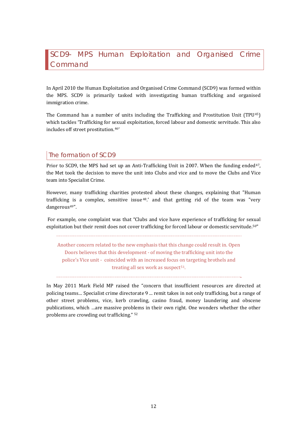# <span id="page-13-0"></span>SCD9- MPS Human Exploitation and Organised Crime Command

In April 2010 the Human Exploitation and Organised Crime Command (SCD9) was formed within the MPS. SCD9 is primarily tasked with investigating human trafficking and organised immigration crime.

The Command has a number of units including the Trafficking and Prostitution Unit (TPU[45](#page-66-1)) which tackles 'Trafficking for sexual exploitation, forced labour and domestic servitude. This also includes off street prostitution.[4](#page-66-1)6'

# The formation of SCD9

Prior to SCD9, the MPS had set up an Anti-Trafficking Unit in 2007. When the funding ended<sup>[47](#page-66-1)</sup>, the Met took the decision to move the unit into Clubs and vice and to move the Clubs and Vice team into Specialist Crime.

However, many trafficking charities prot[es](#page-66-1)ted about these changes, explaining that "Human trafficking is a complex, sensitive issue 48.' and that getting rid of the team was "very dangerous[4](#page-66-1)9".

 For example, one complaint was that "Clubs and vice have experience of trafficking for sexual exploitation but their remit does not cover trafficking for forced labour or domestic servitude.[50](#page-66-1)"

Another concern related to the new emphasis that this change could result in. Open Doors believes that this development - of moving the trafficking unit into the police's Vice unit - coincided with an increased focus on targeting brothels and treating all sex work as suspect<sup>[5](#page-66-1)1</sup>.

In May 2011 Mark Field MP raised the "concern that insufficient resources are directed at policing teams… Specialist crime directorate 9 ... remit takes in not only trafficking, but a range of other street problems, vice, kerb crawling, casino fraud, money laundering and obscene publications, which …are massive prob[le](#page-66-1)ms in their own right. One wonders whether the other problems are crowding out trafficking." <sup>52</sup>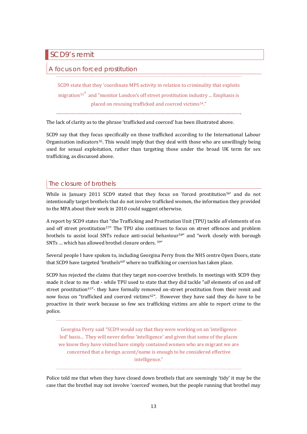<span id="page-14-0"></span>SCD9's remit

## focus on forced prostitution

SCD9 state that they 'coordinate MPS activity in relation to criminality that exploits migration<sup>[5](#page-66-1)3'</sup> and "monitor London's off street prostitution industry ... Emphasis is placed on rescuing trafficked and coerced victims<sup>[5](#page-66-1)4</sup>."

The lack of clarity as to the phrase 'trafficked and coerced' has been illustrated above.

SCD9 say that they focus specifically on those trafficked according to the International Labour Organisation indicators[5](#page-66-1)5. This would imply that they deal with those who are unwillingly being used for sexual exploitation, rather than targeting those under the broad UK term for sex trafficking, as discussed above.

# The closure of brothels

While in January 2011 SCD9 stated that they focus on 'forced prostitution<sup>[5](#page-66-1)6'</sup> and do not intentionally target brothels that do not involve trafficked women, the information they provided to the MPA about their work in 2010 could suggest otherwise.

A report by SCD9 states that "the Trafficking and Prostitution Unit (TPU) tackle *all* elements of on and off street prostitution<sup>[57](#page-66-1)"</sup> The TPU also continues to f[oc](#page-66-1)us on street offences and problem brothels to assist local SNTs reduce anti-social [b](#page-66-1)ehaviour58" and "work closely with borough SNTs … which has allowed brothel closure orders. 59"

Several people I have spoken to, including Georgina Perry from the NHS centre Open Doors, state that SCD9 have targeted 'brothels $60'$  $60'$ ' where no trafficking or coercion has taken place.

SCD9 has rejected the claims that they target non-coercive brothels. In meetings with SCD9 they made it clear to me that - while TPU used to state that they did tackle "*all* elements of on and off street prostitution<sup>[6](#page-66-1)1"</sup>- they have formally re[mo](#page-66-1)ved on-street prostitution from their remit and now focus on "trafficked and coerced victims<sup>62"</sup>. However they have said they do have to be proactive in their work because so few sex trafficking victims are able to report crime to the police.

Georgina Perry said "SCD9 would say that they were working on an 'intelligence led' basis... They will never define 'intelligence' and given that some of the places we know they have visited have simply contained women who are migrant we are concerned that a foreign accent/name is enough to be considered effective intelligence."

Police told me that when they have closed down brothels that are seemingly 'tidy' it may be the case that the brothel may not involve 'coerced' women, but the people running that brothel may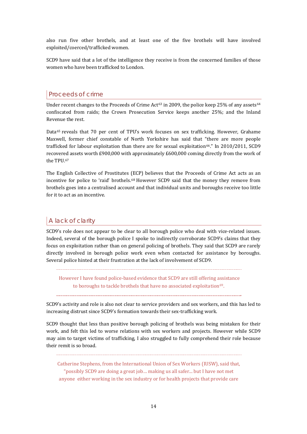also run five other brothels, and at least one of the five brothels will have involved exploited/coerced/trafficked women.

SCD9 have said that a lot of the intelligence they receive is from the concerned families of those women who have been trafficked to London.

# Proceeds of crime

Under recent changes to the Proceeds of Crime Act<sup>[63](#page-66-1)</sup> in 2009, the police keep 25% of any assets<sup>[64](#page-66-1)</sup> confiscated from raids; the Crown Prosecution Service keeps another 25%; and the Inland Revenue the rest.

Data<sup>[65](#page-66-1)</sup> reveals that 70 per cent of TPU's work focuses on sex trafficking. However, Grahame Maxwell, former chief constable of North Yorkshire has said that "there are more people trafficked for labour exploitation than there are for sexual exploitation<sup>[6](#page-66-1)6</sup>." In 2010/2011, SCD9 recovered assets worth £900,000 with approximately £600,000 coming directly from the work of the TPU.[6](#page-66-1)7

The English Collective of Prostitutes (ECP) believes that the Proceeds of Crime Act acts as an incentive for police to 'raid' brothels.[6](#page-66-1)8 However SCD9 said that the money they remove from brothels goes into a centralised account and that individual units and boroughs receive too little for it to act as an incentive.

# A lack of clarity

SCD9's role does not appear to be clear to all borough police who deal with vice-related issues. Indeed, several of the borough police I spoke to indirectly corroborate SCD9's claims that they focus on exploitation rather than on general policing of brothels. They said that SCD9 are rarely directly involved in borough police work even when contacted for assistance by boroughs. Several police hinted at their frustration at the lack of involvement of SCD9.

 However I have found police-based evidence that SCD9 are still offering [as](#page-66-1)sistance to boroughs to tackle brothels that have no associated exploitation<sup>69</sup>.

SCD9's activity and role is also not clear to service providers and sex workers, and this has led to increasing distrust since SCD9's formation towards their sex-trafficking work.

SCD9 thought that less than positive borough policing of brothels was being mistaken for their work, and felt this led to worse relations with sex workers and projects. However while SCD9 may aim to target victims of trafficking, I also struggled to fully comprehend their role because their remit is so broad.

Catherine Stephens, from the International Union of Sex Workers (IUSW), said that, "possibly SCD9 are doing a great job… making us all safer... but I have not met anyone either working in the sex industry or for health projects that provide care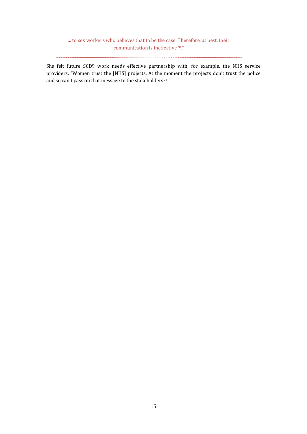... to sex workers who believes that to be the case. Therefore, at best, their communication is ineffective<sup>[7](#page-66-1)0</sup>."

She felt future SCD9 work needs effective partnership with, for example, the NHS service providers. "Women trust the [NHS] projects. At the moment the projects don't trust the police and so can't pass on that message to the stakeholders<sup>[7](#page-66-1)1</sup>."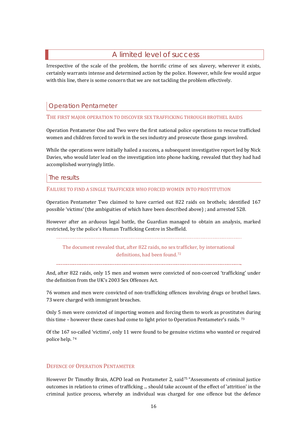# A limited level of success

<span id="page-17-0"></span>Irrespective of the scale of the problem, the horrific crime of sex slavery, wherever it exists, certainly warrants intense and determined action by the police. However, while few would argue with this line, there is some concern that we are not tackling the problem effectively.

# Operation Pentameter

#### THE FIRST MAJOR OPERATION TO DISCOVER SEX TRAFFICKING THROUGH BROTHEL RAIDS

Operation Pentameter One and Two were the first national police operations to rescue trafficked women and children forced to work in the sex industry and prosecute those gangs involved.

While the operations were initially hailed a success, a subsequent investigative report led by Nick Davies, who would later lead on the investigation into phone hacking, revealed that they had had accomplished worryingly little.

### The results

#### FAILURE TO FIND A SINGLE TRAFFICKER WHO FORCED WOMEN INTO PROSTITUTION

Operation Pentameter Two claimed to have carried out 822 raids on brothels; identified 167 possible 'victims' (the ambiguities of which have been described above) ; and arrested 528.

However after an arduous legal battle, the Guardian managed to obtain an analysis, marked restricted, by the police's Human Trafficking Centre in Sheffield.

The document revealed that, after 822 raids, no sex trafficker, by international definitions, had been found.[72](#page-66-1)

And, after 822 raids, only 15 men and women were convicted of non-coerced 'trafficking' under the definition from the UK's 2003 Sex Offences Act.

76 women and men were convicted of non-trafficking offences involving drugs or brothel laws. 73 were charged with immigrant breaches.

Only 5 men were convicted of importing women and forcing them to work as prostitut[es](#page-66-1) during this time – however these cases had come to light prior to Operation Pentameter's raids.<sup>73</sup>

Of the 167 [so](#page-66-1)-called 'victims', only 11 were found to be genuine victims who wanted or required police help. 74

### DEFENCE OF OPERATION PENTAMETER

However Dr Timothy Brain, ACPO lead on Pentameter 2, said<sup>[7](#page-66-1)5</sup> "Assessments of criminal justice outcomes in relation to crimes of trafficking ... should take account of the effect of 'attrition' in the criminal justice process, whereby an individual was charged for one offence but the defence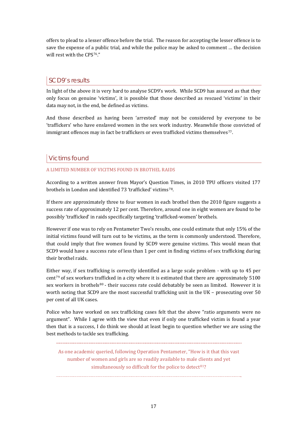offers to plead to a lesser offence before the trial. The reason for accepting the lesser offence is to save the expense of a public trial, and while the police may be asked to comment … the decision will rest with the CPS[7](#page-66-1)6."

# SCD9's results

In light of the above it is very hard to analyse SCD9's work. While SCD9 has assured as that they only focus on genuine 'victims', it is possible that those described as rescued 'victims' in their data may not, in the end, be defined as victims.

And those described as having been 'arrested' may not be considered by everyone to be 'traffickers' who have enslaved women in the sex work industry. Meanwhile those convicted of immigrant offences may in fact be traffickers or even trafficked victims themselves[7](#page-66-1)7.

# Victims found

## A LIMITED NUMBER OF VICITMS FOUND IN BROTHEL RAIDS

According to a written answer from Mayor's Question Times, in 2010 TPU officers visited 177 brothels in London and identified [7](#page-66-1)3 'trafficked' victims<sup>78</sup>.

If there are approximately three to four women in each brothel then the 2010 figure suggests a success rate of approximately 12 per cent. Therefore, around one in eight women are found to be possibly 'trafficked' in raids specifically targeting 'trafficked-women' brothels.

However if one was to rely on Pentameter Two's results, one could estimate that only 15% of the initial victims found will turn out to be victims, as the term is commonly understood. Therefore, that could imply that five women found by SCD9 were genuine victims. This would mean that SCD9 would have a success rate of less than 1 per cent in finding victims of sex trafficking during their brothel raids.

Either way, if sex trafficking is correctly identified as a large scale problem - with up to 45 per cent[7](#page-66-1)9 of sex workers tr[af](#page-66-1)ficked in a city where it is estimated that there are approximately 5100 sex workers in brothels<sup>80</sup> - their success rate could debatably be seen as limited. However it is worth noting that SCD9 are the most successful trafficking unit in the UK – prosecuting over 50 per cent of all UK cases.

Police who have worked on sex trafficking cases felt that the above "ratio arguments were no argument". While I agree with the view that even if only one trafficked victim is found a year then that is a success, I do think we should at least begin to question whether we are using the best methods to tackle sex trafficking.

As one academic queried, following Operation Pentameter, "How is it that this vast number of women and girls are so readily available to male clients and yet simultaneously so difficult for the police to detect  $81$ ?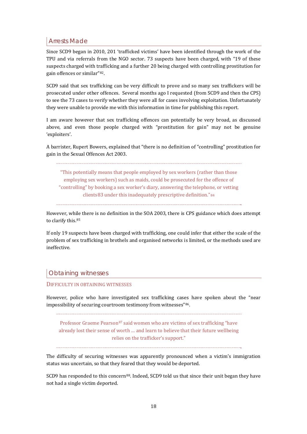# Arrests Made

Since SCD9 began in 2010, 201 'trafficked victims' have been identified through the work of the TPU and via referrals from the NGO sector. 73 suspects have been charged, with "19 of these suspects charged with trafficking and a further 20 being charged with controlling prostitution for gain offences or similar"[8](#page-66-1)2.

SCD9 said that sex trafficking can be very difficult to prove and so many sex traffickers will be prosecuted under other offences. Several months ago I requested (from SCD9 and then the CPS) to see the 73 cases to verify whether they were all for cases involving exploitation. Unfortunately they were unable to provide me with this information in time for publishing this report.

I am aware however that sex trafficking offences can potentially be very broad, as discussed above, and even those people charged with "prostitution for gain" may not be genuine 'exploiters'.

A barrister, Rupert Bowers, explained that "there is no definition of "controlling" prostitution for gain in the Sexual Offences Act 2003.

"This potentially means that people employed by sex workers (rather than those employing sex workers) such as maids, could be prosecuted for the offence of "controlling" by booking a sex worker's diary, answering the telephone, or vetting clients[83](#page-66-1) under this inadequately prescriptive definition."[8](#page-66-1)4

However, while there is no definition in the SOA 2003, there is CPS guidance which does attempt to clarify this.<sup>[8](#page-66-1)5</sup>

If only 19 suspects have been charged with trafficking, one could infer that either the scale of the problem of sex trafficking in brothels and organised networks is limited, or the methods used are ineffective.

# Obtaining witnesses

#### DIFFICULTY IN OBTAINING WITNESSES

However, police who have investigated sex trafficking cases have spoken about the "near impossibility of securing courtroom testimony from witnesses"[8](#page-66-1)6.

Professor Graeme Pearson<sup>[87](#page-66-1)</sup> said women who are victims of sex trafficking "have already lost their sense of worth … and learn to believe that their future wellbeing relies on the trafficker's support."

The difficulty of securing witnesses was apparently pronounced when a victim's immigration status was uncertain, so that they feared that they would be deported.

SCD9 has responded to this concern<sup>[88](#page-66-1)</sup>. Indeed, SCD9 told us that since their unit began they have not had a single victim deported.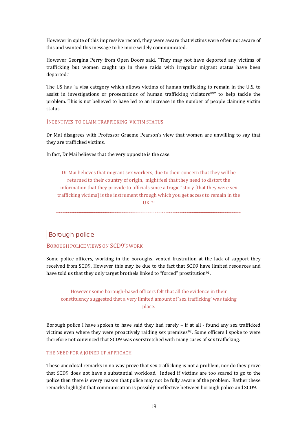However in spite of this impressive record, they were aware that victims were often not aware of this and wanted this message to be more widely communicated.

However Georgina Perry from Open Doors said, "They may not have deported any victims of trafficking but women caught up in these raids with irregular migrant status have been deported."

The US has "a visa category which allows victims of human trafficking to remain in the U.S. to assist in investigations or prosecutions of human trafficking violators $89''$  $89''$  to help tackle the problem. This is not believed to have led to an increase in the number of people claiming victim status.

#### INCENTIVES TO CLAIM TRAFFICKING VICTIM STATUS

Dr Mai disagrees with Professor Graeme Pearson's view that women are unwilling to say that they are trafficked victims.

In fact, Dr Mai believes that the very opposite is the case.

Dr Mai believes that migrant sex workers, due to their concern that they will be returned to their country of origin, might feel that they need to distort the information that they provide to officials since a tragic "story [that they were sex trafficking victims] is the instrument thro[ug](#page-66-1)h which you get access to remain in the UK.90

#### Borough police

BOROUGH POLICE VIEWS ON SCD9'S WORK

Some police officers, working in the boroughs, vented frustration at the lack of support they received from SCD9. However this may be due to the fact that SCD9 have limited resources and have told us that they only target brothels linked to "forced" prostitution<sup>[9](#page-66-1)1</sup>.

However some borough-based officers felt that all the evidence in their constituency suggested that a very limited amount of 'sex trafficking' was taking place.

Borough police I have spoken to have said they had rarely – if at all - found any sex trafficked victims even where they were proactively raiding sex premises<sup>[9](#page-66-1)2</sup>. Some officers I spoke to were therefore not convinced that SCD9 was overstretched with many cases of sex trafficking.

#### THE NEED FOR A JOINED UP APPROACH

These anecdotal remarks in no way prove that sex trafficking is not a problem, nor do they prove that SCD9 does not have a substantial workload. Indeed if victims are too scared to go to the police then there is every reason that police may not be fully aware of the problem. Rather these remarks highlight that communication is possibly ineffective between borough police and SCD9.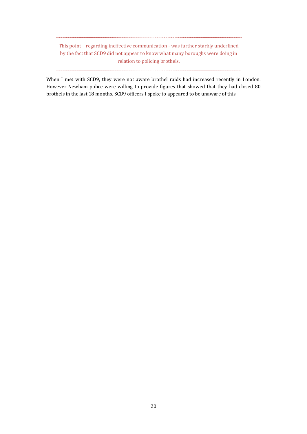This point – regarding ineffective communication - was further starkly underlined by the fact that SCD9 did not appear to know what many boroughs were doing in relation to policing brothels.

When I met with SCD9, they were not aware brothel raids had increased recently in London. However Newham police were willing to provide figures that showed that they had closed 80 brothels in the last 18 months. SCD9 officers I spoke to appeared to be unaware of this.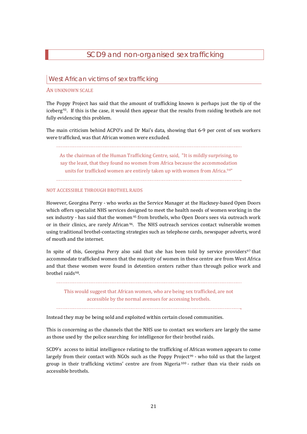# SCD9 and non-organised sex trafficking

## <span id="page-22-0"></span>West African victims of sex trafficking

#### AN UNKNOWN SCALE

The Poppy Project has said that the amount of trafficking known is perhaps just the tip of the iceberg[93](#page-66-1). If this is the case, it would then appear that the results from raiding brothels are not fully evidencing this problem.

The main criticism behind ACPO's and Dr Mai's data, showing that 6-9 per cent of sex workers were trafficked, was that African women were excluded.

As the chairman of the Human Trafficking Centre, said, "It is mildly surprising, to say the least, that they found no women from Africa because the accommodation units for trafficked women are entirely taken up with women from Africa.<sup>[9](#page-66-1)4"</sup>

#### NOT ACCESSIBLE THROUGH BROTHEL RAIDS

However, Georgina Perry - who works as the Service Manager at the Hackney-based Open Doors which offers specialist NHS services designed to meet the health needs of women working in the sex industry - has said that the women<sup>95</sup> from brothels, who Open Doors sees via outreach work or in their clinics, are rarely African<sup>96</sup>. The NHS outreach services contact vulnerable women using traditional brothel-contacting strategies such as telephone cards, newspaper adverts, word of mouth and the internet.

In spite of this, Georgina Perry also said that she has been told by service providers<sup>[9](#page-66-1)7</sup> that accommodate trafficked women that the majority of women in these centre are from West Africa and that these women were found in detention centers rather than through police work and brothel raids<sup>[9](#page-66-1)8</sup>.

This would suggest that African women, who are being sex trafficked, are not accessible by the normal avenues for accessing brothels.

Instead they may be being sold and exploited within certain closed communities.

This is concerning as the channels that the NHS use to contact sex workers are largely the same as those used by the police searching for intelligence for their brothel raids.

SCD9's access to initial intelligence relating to the trafficking of African women appears to come largely from their contact with NGOs such as the Poppy Pr[oj](#page-66-1)ect<sup>[99](#page-66-1)</sup> - who told us that the largest group in their trafficking victims' centre are from Nigeria100 - rather than via their raids on accessible brothels.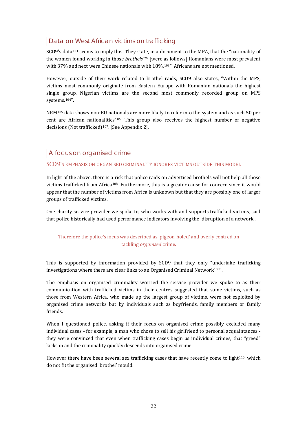# Data on West African victims on trafficking

SCD9's data<sup>[10](#page-66-1)1</sup> seems to imply this. They state, in a document to the MPA, that the "nationality of the women found working in those *brothels[10](#page-66-1)2* [were as follows] Romanians were most prevalent with 37% and next were Chinese nationals with 18%.<sup>[10](#page-66-1)3"</sup> Africans are not mentioned.

However, outside of their work related to brothel raids, SCD9 also states, "Within the MPS, victims most commonly originate from Eastern Europe with Romanian nationals the highest single group. Nigerian victims are the second most commonly recorded group on MPS systems.[10](#page-66-1)4".

NRM[1](#page-66-1)05 data shows non-EU na[tio](#page-66-1)nals are more likely to refer into the system and as such 50 per cent are African nation[al](#page-66-1)ities<sup>106</sup>. This group also receives the highest number of negative decisions (Not trafficked)<sup>107</sup>. [See Appendix 2].

# A focus on organised crime

SCD9'S EMPHASIS ON ORGANISED CRIMINALITY IGNORES VICTIMS OUTSIDE THIS MODEL

In light of the above, there is a risk that police raids on advertised brothels will not help all those victims trafficked from Africa[1](#page-66-1)08. Furthermore, this is a greater cause for concern since it would appear that the number of victims from Africa is unknown but that they are possibly one of larger groups of trafficked victims.

One charity service provider we spoke to, who works with and supports trafficked victims, said that police historically had used performance indicators involving the 'disruption of a network'.

Therefore the police's focus was described as 'pigeon-holed' and overly centred on tackling *organised* crime.

This is supported by information provided by SCD9 that they only "undertake trafficking investigations where there are clear links to an Organised Criminal Network<sup>[10](#page-66-1)9"</sup>.

The emphasis on organised criminality worried the service provider we spoke to as their communication with trafficked victims in their centres suggested that some victims, such as those from Western Africa, who made up the largest group of victims, were not exploited by organised crime networks but by individuals such as boyfriends, family members or family friends.

When I questioned police, asking if their focus on organised crime possibly excluded many individual cases - for example, a man who chose to sell his girlfriend to personal acquaintances they were convinced that even when trafficking cases begin as individual crimes, that "greed" kicks in and the criminality quickly descends into organised crime.

However there have been several sex trafficking cases that have recently come to light<sup>[1](#page-66-1)10</sup> which do not fit the organised 'brothel' mould.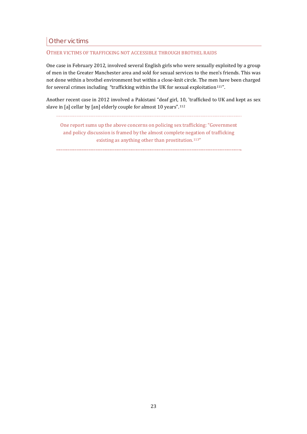# Other victims

#### OTHER VICTIMS OF TRAFFICKING NOT ACCESSIBLE THROUGH BROTHEL RAIDS

One case in February 2012, involved several English girls who were sexually exploited by a group of men in the Greater Manchester area and sold for sexual services to the men's friends. This was not done within a brothel environment but within a close-knit circle. The men have been charged for several crimes including "trafficking within the UK for sexual exploitation $111"$  $111"$ .

Another recent case in 2012 involved a Pakistani "deaf girl, [1](#page-66-1)0, 'trafficked to UK and kept as sex slave in [a] cellar by [an] elderly couple for almost 10 years".112

One report sums up the above concerns on policing sex trafficking: "Government and policy discussion is framed by the almost complete negation of trafficking existing as anything other than prostitution.<sup>[11](#page-66-1)3"</sup>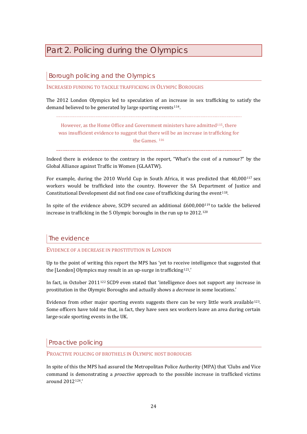# <span id="page-25-0"></span>Part 2. Policing during the Olympics

Borough policing and the Olympics

INCREASED FUNDING TO TACKLE TRAFFICKING IN OLYMPIC BOROUGHS

The 2012 London Olympics led to speculation of an increase in sex trafficking to satisfy the demand believed to be generated by large sporting events  $114$  $114$ .

However, as the Home Office and Government ministers have admitted<sup>[11](#page-66-1)5</sup>, there was insufficient evidence to suggest that ther[e](#page-66-1) will be an increase in trafficking for the Games. 116

Indeed there is evidence to the contrary in the report, "What's the cost of a rumour?" by the Global Alliance against Traffic in Women (GLAATW).

For example, during the 2010 World Cup in South Africa, it was predicted that 40,000<sup>[11](#page-66-1)7</sup> sex workers would be trafficked into the country. However the SA Department of Justice and Constitutional Development did not find one case of trafficking during the event<sup>[11](#page-66-1)8</sup>.

In spite of the evidence above, SCD9 secured an additional £600,000[1](#page-66-1)19 to tackle the believed increase in trafficking in the 5 Olympic boroughs in the run up to 2012.[1](#page-66-1)20

## The evidence

EVIDENCE OF A DECREASE IN PROSTITUTION IN LONDON

Up to the point of writing this report the MPS has 'yet to receive intelligence that suggested that the [London] Olympics may result in an up-surge in trafficking<sup>[12](#page-66-1)1</sup>.'

In fact, in October 2011[12](#page-66-1)2 SCD9 even stated that 'intelligence does not support any increase in prostitution in the Olympic Boroughs and actually shows a *decrease* in some locations.'

Evidence from other major sporting events suggests there can be very little work available<sup>[1](#page-66-1)23</sup>. Some officers have told me that, in fact, they have seen sex workers leave an area during certain large-scale sporting events in the UK.

Proactive policing

#### PROACTIVE POLICING OF BROTHELS IN OLYMPIC HOST BOROUGHS

In spite of this the MPS had assured the Metropolitan Police Authority (MPA) that 'Clubs and Vice command is demonstrating a *proactive* approach to the possible increase in trafficked victims around 2012[1](#page-66-1)24.'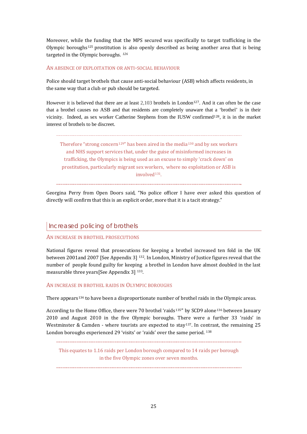Moreover, while the funding that the MPS secured was specifically to target trafficking in the Olympic boroughs[12](#page-66-1)5 prostitution is also openly described as being another area that is being targeted in the Olympic boroughs. *[1](#page-66-1)26*

#### AN ABSENCE OF EXPLOITATION OR ANTI-SOCIAL BEHAVIOUR

Police should target brothels that cause anti-social behaviour (ASB) which affects residents, in the same way that a club or pub should be targeted.

However it is believed that there are at least  $2.103$  brothels in London<sup>127</sup>. And it can often be the case that a brothel causes no ASB and that residents are completely una[w](#page-66-1)are that [a](#page-66-1) 'brothel' is in their vicinity. Indeed, as sex worker Catherine Stephens from the IUSW confirmed128, it is in the market interest of brothels to be discreet.

Therefore "strong concern<sup>[12](#page-66-1)9"</sup> has been aired in the media<sup>[1](#page-66-1)30</sup> and by sex workers and NHS support services that, under the guise of misinformed increases in trafficking, the Olympics is being used as an excuse to simply 'crack down' on prostitution, particularly migrant sex workers, where no exploitation or ASB is involved<sup>[1](#page-66-1)31</sup>

Georgina Perry from Open Doors said, "No police officer I have ever asked this question of directly will confirm that this is an explicit order, more that it is a tacit strategy."

## Increased policing of brothels

#### AN INCREASE IN BROTHEL PROSECUTIONS

National figures reveal that prosecutions for keeping a brothel increased ten fold in the UK between 2001and 2007 [See Appendix 3] [13](#page-66-1)2. In London, Ministry of Justice figures reveal that the number of people found guilty for keeping a brothel in London have almost doubled in the last measurable three years[See Appendix 3] [1](#page-66-1)33.

#### AN INCREASE IN BROTHEL RAIDS IN OLYMPIC BOROUGHS

There appears<sup>[13](#page-66-1)4</sup> to have been a disproportionate number of brothel raids in the Olympic areas.

According to the Home Office, there were 70 brothel 'raids<sup>[1](#page-66-1)35</sup>' by SCD9 alone<sup>[13](#page-66-1)6</sup> between January 2010 and August 2010 in the five Olympic boroughs. There were a further 33 'raids' in Westminster & Camden - where tourists are expected to stay<sup>[13](#page-66-1)7</sup>. I[n](#page-66-1) contrast, the remaining 25 London boroughs experienced 29 'visits' or 'raids' over the same period. 138

This equates to 1.16 raids per London borough compared to 14 raids per borough in the five Olympic zones over seven months.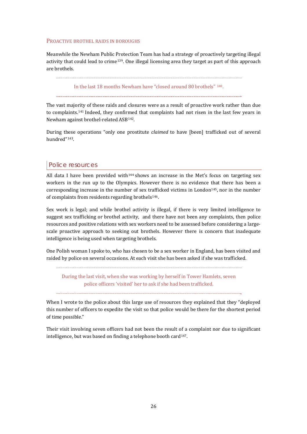#### PROACTIVE BROTHEL RAIDS IN BOROUGHS

Meanwhile the Newham Public Protection Team has had a strategy of proactively targeting illegal activity that could lead to crime[1](#page-66-1)39. One illegal licensing area they target as part of this approach are brothels.

#### In the last 18 months Newham have "closed around 80 brothels" [1](#page-66-1)40.

The vast majority of these raids and closures were as a result of proactive work rather than due to complaints.[14](#page-66-1)1 Indeed, they confir[m](#page-66-1)ed that complaints had not risen in the last few years in Newham against brothel-related ASB142.

During these operations "only one prostitute *claimed* to have [been] trafficked out of several hundred"[14](#page-66-1)3.

## Police resources

All data I have been provided with<sup>[14](#page-66-1)4</sup> shows an increase in the Met's focus on targeting sex workers in the run up to the Olympics. However there is no evidence that there has been a corresponding increase in the number of sex tr[a](#page-66-1)fficked victims in London[1](#page-66-1)45, nor in the number of complaints from residents regarding brothels<sup>146</sup>.

Sex work is legal; and while brothel activity is illegal, if there is very limited intelligence to suggest sex trafficking or brothel activity, and there have not been any complaints, then police resources and positive relations with sex workers need to be assessed before considering a largescale proactive approach to seeking out brothels. However there is concern that inadequate intelligence is being used when targeting brothels.

One Polish woman I spoke to, who has chosen to be a sex worker in England, has been visited and raided by police on several occasions. At each visit she has been asked if she was trafficked.

During the last visit, when she was working by herself in Tower Hamlets, seven police officers 'visited' her to ask if she had been trafficked.

When I wrote to the police about this large use of resources they explained that they "deployed this number of officers to expedite the visit so that police would be there for the shortest period of time possible."

Their visit involving seven officers had not been the result of a complaint nor due to significant intelligence, but was based on finding a telephone booth card<sup>[14](#page-66-1)7</sup>.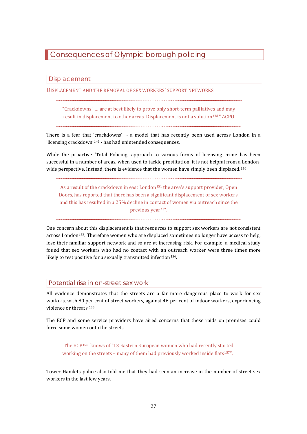# <span id="page-28-0"></span>Consequences of Olympic borough policing

## **Displacement**

DISPLACEMENT AND THE REMOVAL OF SEX WORKERS' SUPPORT NETWORKS

"Crackdowns" … are at best likely to prove only short-term palliatives and may result in displacement to other areas. Displacement is not a solution*[1](#page-66-1)48*." ACPO

There is a fear that 'crackdowns' - a model that has recently been used across London in a 'licensing crackdown'[14](#page-66-1)9 - has had unintended consequences.

While the proactive 'Total Policing' approach to various forms of licensing crime has been successful in a number of areas, when used to tackle prostitution, it is not helpful from a [L](#page-66-1)ondonwide perspective. Instead, there is evidence that the women have simply been displaced.<sup>150</sup>

As a result of the crackdown in east London<sup>[15](#page-66-1)1</sup> the area's support provider, Open Doors, has reported that there has been a significant displacement of sex workers, and this has resulted in a 25% decline in contact of women via outreach since the previous year[1](#page-66-1)52.

One concern about this displacement is that resources to support sex workers are not consistent across London[15](#page-66-1)3. Therefore women who are displaced sometimes no longer have access to help, lose their familiar support network and so are at increasing risk. For example, a medical study found that sex workers who had no contact with an outreach worker were three times more likely to test positive for a sexually transmitted infection<sup>[1](#page-66-1)54</sup>.

# Potential rise in on-street sex work

All evidence demonstrates that the streets are a far more dangerous place to work for sex workers, with 80 p[e](#page-66-1)r cent of street workers, against 46 per cent of indoor workers, experiencing violence or threats.155

The ECP and some service providers have aired concerns that these raids on premises could force some women onto the streets

The ECP[15](#page-66-1)6 knows of "13 Eastern European women who had recently sta[r](#page-66-1)ted working on the streets – many of them had previously worked inside flats<sup>157"</sup>.

Tower Hamlets police also told me that they had seen an increase in the number of street sex workers in the last few years.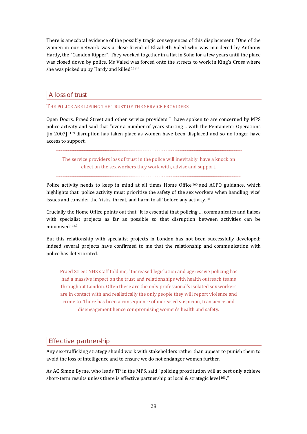There is anecdotal evidence of the possibly tragic consequences of this displacement. "One of the women in our network was a close friend of Elizabeth Valed who was murdered by Anthony Hardy, the "Camden Ripper". They worked together in a flat in Soho for a few years until the place was closed down by police. Ms Valed was forced onto the streets to work in King's Cross where she was picked up by Hardy and killed<sup>[15](#page-66-1)8</sup>."

# A loss of trust

### THE POLICE ARE LOSING THE TRUST OF THE SERVICE PROVIDERS

Open Doors, Praed Street and other service providers I have spoken to are concerned by MPS police activity and said that "over a number of years starting… with the Pentameter Operations [in 2007]"[15](#page-66-1)9 disruption has taken place as women have been displaced and so no longer have access to support.

The service providers loss of trust in the police will inevitably have a knock on effect on the sex workers they work with, advise and support.

Police activity needs to keep in mind at all times Home Office<sup>[1](#page-66-1)60</sup> and ACPO guidance, which highlights that police activity must prioritise the safety of the sex workers when handling 'vice' issues and consider the 'risks, threat, and harm to all' before any activity.[16](#page-66-1)1

Crucially the Home Office points out that "It is essential that policing … communicates and liaises with specialist projects as far as possible so that disruption between activities can be minimised"[1](#page-66-1)62

But this relationship with specialist projects in London has not been successfully developed; indeed several projects have confirmed to me that the relationship and communication with police has deteriorated.

Praed Street NHS staff told me, "Increased legislation and aggressive policing has had a massive impact on the trust and relationships with health outreach teams throughout London. Often these are the only professional's isolated sex workers are in contact with and realistically the only people they will report violence and crime to. There has been a consequence of increased suspicion, transience and disengagement hence compromising women's health and safety.

# Effective partnership

Any sex-trafficking strategy should work with stakeholders rather than appear to punish them to avoid the loss of intelligence and to ensure we do not endanger women further.

As AC Simon Byrne, who leads TP in the MPS, said "policing prostitution will at best only achieve short-term results unless there is effective partnership at local & strategic level<sup>[16](#page-66-1)3</sup>."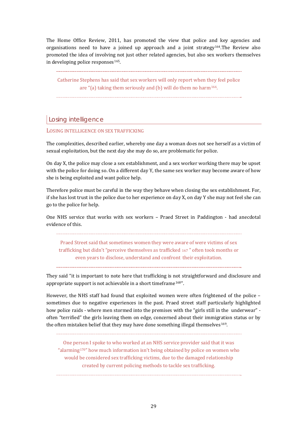The Home Office Review, 2011, has promoted the view that police and key agencies and organisations need to have a joined up approach and a joint strategy<sup>[1](#page-66-1)64</sup>. The Review also promoted the idea of involving not just other related agencies, but also sex workers themselves in developing police responses<sup>[1](#page-66-1)65</sup>.

Catherine Stephens has said that sex workers will only report when they feel police are "(a) taking them seriously and (b) will do them no harm[16](#page-66-1)6.

# Losing intelligence

#### LOSING INTELLIGENCE ON SEX TRAFFICKING

The complexities, described earlier, whereby one day a woman does not see herself as a victim of sexual exploitation, but the next day she may do so, are problematic for police.

On day X, the police may close a sex establishment, and a sex worker working there may be upset with the police for doing so. On a different day Y, the same sex worker may become aware of how she is being exploited and want police help.

Therefore police must be careful in the way they behave when closing the sex establishment. For, if she has lost trust in the police due to her experience on day X, on day Y she may not feel she can go to the police for help.

One NHS service that works with sex workers – Praed Street in Paddington - had anecdotal evidence of this.

Praed Street said that sometimes women they were aware of were victims of sex trafficking but didn't "perceive themselves as trafficked [16](#page-66-1)7 " often took months or even years to disclose, understand and confront their exploitation.

They said "it is important to note here that trafficking is not straightforward and disclosure and appropriate support is not achievable in a short timeframe<sup>[16](#page-66-1)8"</sup>.

However, the NHS staff had found that exploited women were often frightened of the police – sometimes due to negative experiences in the past. Praed street staff particularly highlighted how police raids - where men stormed into the premises with the "girls still in the underwear" often "terrified" the girls leaving them on edge, concerned about their immigration status or by the often mistaken belief that they may have done something illegal themselves  $169$  $169$ .

One pe[rs](#page-66-1)on I spoke to who worked at an NHS service provider said that it was "alarming<sup>170"</sup> how much information isn't being obtained by police on women who would be considered sex trafficking victims, due to the damaged relationship created by current policing methods to tackle sex trafficking.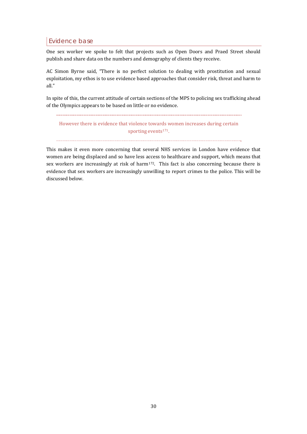# Evidence base

One sex worker we spoke to felt that projects such as Open Doors and Praed Street should publish and share data on the numbers and demography of clients they receive.

AC Simon Byrne said, "There is no perfect solution to dealing with prostitution and sexual exploitation, my ethos is to use evidence based approaches that consider risk, threat and harm to all."

In spite of this, the current attitude of certain sections of the MPS to policing sex trafficking ahead of the Olympics appears to be based on little or no evidence.

However there is evidence that violence towar[ds](#page-66-1) women increases during certain sporting events<sup>171</sup>.

This makes it even more concerning that several NHS services in London have evidence that women are being displaced and so have less access to healthcare and support, which means that sex workers are increasingly at risk of harm<sup>[17](#page-66-1)2</sup>. This fact is also concerning because there is evidence that sex workers are increasingly unwilling to report crimes to the police. This will be discussed below.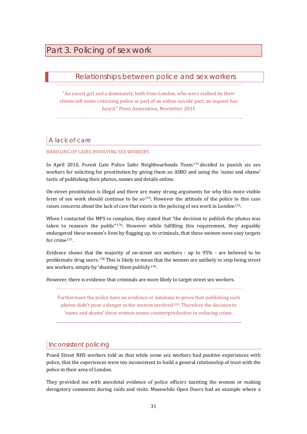# <span id="page-32-0"></span>Part 3. Policing of sex work

# Relationships between police and sex workers

"An escort girl and a dominatrix, both from London, who were stalked by their clients left notes criticising police as part of an online suicide pact, an inquest has heard." Press Association, November 2011

# A lack of care

#### HANDLING OF CASES INVOLVING SEX WORKERS

In April 20[1](#page-66-1)0, Forest Gate Police Safer Neighbourhoods Team<sup>173</sup> decided to punish six sex workers for soliciting for prostitution by giving them an ASBO and using the 'name and shame' tactic of publishing their photos, names and details online.

On-street prostitution is illegal and there are many strong arguments for why this more visible form of sex work should cont[in](#page-66-1)ue to be  $\frac{1}{2}$ . However the attitude of the police in this case raises concerns about the lack of care that exists in the policing of sex work in London<sup>175</sup>.

When I contacted the MPS to complain, they stated that "the decision to publish the photos was taken to reassure the public"[1](#page-66-1)76. However while fulfilling this requirement, they arguably endangered these women's lives by flagging up, to criminals, that these women were easy targets for crime[1](#page-66-1)77.

Evidence shows that the majority of on-street sex workers - up to 95% - are believed to be problematic drug users.[1](#page-66-1)78 This is likely to mea[n](#page-66-1) that the women are unlikely to stop being street sex workers, simply by 'shaming' them publicly $179$ .

However, there is evidence that criminals are more likely to target street sex workers.

Furthermore the police have no evidence or database to prove that publishing such photos didn't pose a danger to the women involved<sup>[1](#page-66-1)80</sup>. Therefore the decision to 'name and shame' these women seems counterproductive in reducing crime.

# Inconsistent policing

Praed Street NHS workers told us that while some sex workers had positive experiences with police, that the experiences were too inconsistent to build a general relationship of trust with the police in their area of London.

They provided me with anecdotal evidence of police officers taunting the women or making derogatory comments during raids and visits. Meanwhile Open Doors had an example where a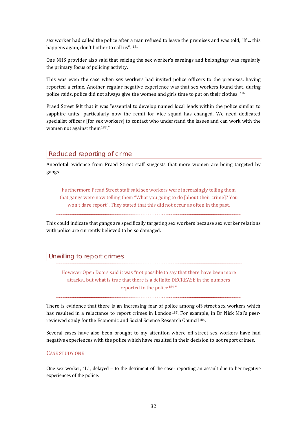sex worker had called the police after [a m](#page-66-1)an refused to leave the premises and was told, "If ... this happens again, don't bother to call us". <sup>181</sup>

One NHS provider also said that seizing the sex worker's earnings and belongings was regularly the primary focus of policing activity.

This was even the case when sex workers had invited police officers to the premises, having reported a crime. Another regular negative experience was that sex workers found th[at](#page-66-1), during police raids, police did not always give the women and girls time to put on their clothes. 182

Praed Street felt that it was "essential to develop named local leads within the police similar to sapphire units- particularly now the remit for Vice squad has changed. We need dedicated specialist officers [for sex workers] to contact who understand the issues and can work with the women not against them<sup>[18](#page-66-1)3</sup>."

# Reduced reporting of crime

Anecdotal evidence from Praed Street staff suggests that more women are being targeted by gangs.

Furthermore Pread Street staff said sex workers were increasingly telling them that gangs were now telling them "What you going to do [about their crime]? You won't dare report". They stated that this did not occur as often in the past.

This could indicate that gangs are specifically targeting sex workers because sex worker relations with police are currently believed to be so damaged.

# Unwilling to report crimes

However Open Doors said it was "not possible to say that there have been more attacks.. but what is true that there is a definite DECREASE in the numbers reported to the police<sup>[1](#page-66-1)84</sup>."

There is evidence that there is an increasing fear of police among off-street sex workers which has resulted in a reluctance to report crimes in London<sup>[1](#page-66-1)85</sup>. For exa[m](#page-66-1)ple, in Dr Nick Mai's peerreviewed study for the Economic and Social Science Research Council<sup>186</sup>.

Several cases have also been brought to my attention where off-street sex workers have had negative experiences with the police which have resulted in their decision to not report crimes.

#### CASE STUDY ONE

One sex worker, 'L', delayed – to the detriment of the case- reporting an assault due to her negative experiences of the police.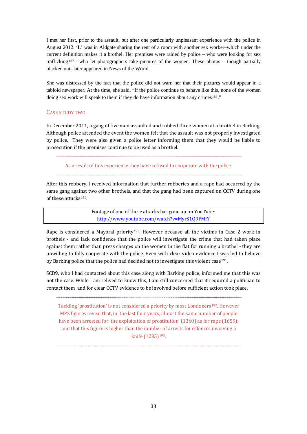I met her first, prior to the assault, but after one particularly unpleasant experience with the police in August 2012. 'L' was in Aldgate sharing the rent of a room with another sex worker–which under the current de[fi](#page-66-1)nition makes it a brothel. Her premises were raided by police – who were looking for sex trafficking187 - who let photographers take pictures of the women. These photos – though partially blacked out- later appeared in News of the World.

She was distressed by the fact that the police did not warn her that their pictures would appear in a tabloid newspaper. At the time, she said, "If the police continue to behave like [th](#page-66-1)is, none of the women doing sex work will speak to them if they do have information about any crimes<sup>188</sup>."

#### CASE STUDY TWO

In December 2011, a gang of five men assaulted and robbed three women at a brothel in Barking. Although police attended the event the women felt that the assault was not properly investigated by police. They were also given a police letter informing them that they would be liable to prosecution if the premises continue to be used as a brothel.

As a result of this experience they have refused to cooperate with the police.

After this robbery, I received information that further robberies and a rape had occurred by the same gang against two other brothels, and that the gang had been captured on CCTV during one of these attacks<sup>[1](#page-66-1)89</sup>.

> F[ootage of one of these attacks has gone up on YouTub](http://www.youtube.com/watch?v=MyrS1Q9FMfY)e: http://www.youtube.com/watch?v=MyrS1Q9FMfY

Rape is considered a Mayoral priority[1](#page-66-1)90. However because all the victims in Case 2 work in brothels - and lack confidence that the police will investigate the crime that had taken place against them rather than press charges on the women in the flat for running a brothel - they are unwilling to fully cooperate with the police. Even with clear video evidence I was led to believe by Barking police that the police had decided not to investigate this violent case<sup>[19](#page-66-1)1</sup>.

SCD9, who I had contacted about this case along with Barking police, informed me that this was not the case. While I am relived to know this, I am still concerned that it required a politician to contact them and for clear CCTV evidence to be involved before sufficient action took place.

Tackling 'prostitution' is not considered a priority by most Londoners<sup>[19](#page-66-1)2</sup>. However MPS figures reveal that, in the last four years, almost the same number of people have been arrested for 'the exploitation of prostitution' (1360) as for rape (1659); and that this figure is higher than the number of arrests for offences involving a knife (1285)<sup>[19](#page-66-1)3</sup>.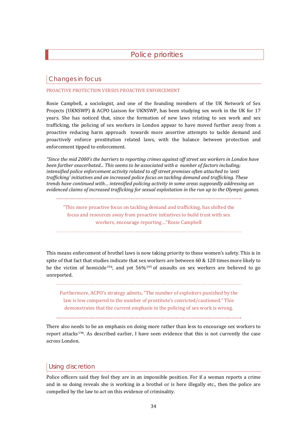Police priorities

# <span id="page-35-0"></span>Changes in focus

#### PROACTIVE PROTECTION VERSUS PROACTIVE ENFORCEMENT

Rosie Campbell, a sociologist, and one of the founding members of the UK Network of Sex Projects (UKNSWP) & ACPO Liaison for UKNSWP, has been studying sex work in the UK for 17 years. She has noticed that, since the formation of new laws relating to sex work and sex trafficking, the policing of sex workers in London appear to have moved further away from a proactive reducing harm approach towards more assertive attempts to tackle demand and proactively enforce prostitution related laws, with the balance between protection and enforcement tipped to enforcement.

*"Since the mid 2000's the barriers to reporting crimes against off street sex workers in London have been further exacerbated... This seems to be associated with a number of factors including; intensified police enforcement activity related to off street premises often attached to 'anti trafficking' initiatives and an increased police focus on tackling demand and trafficking. These trends have continued with… intensified policing activity in some areas supposedly addressing un evidenced claims of increased trafficking for sexual exploitation in the run up to the Olympic games.* 

"This more proactive focus on tackling demand and trafficking, has shifted the focus and resources away from proactive initiatives to build trust with sex workers, encourage reporting ..."Rosie Campbell

This means enforcement of brothel laws is now taking priority to these women's safety. This is in spite of that fact that studies indicate that sex workers are between 60 & 120 times more likely to be the victim of homicide<sup>[1](#page-66-1)94</sup>, and yet  $56\frac{1}{95}$  of assaults on sex workers are believed to go unreported.

Furthermore, ACPO's strategy admits, "The number of exploiters punished by the law is low compared to the number of prostitute's convicted/cautioned." This demonstrates that the current emphasis in the policing of sex work is wrong.

There also needs to be an emphasis on doing more rather than less to encourage sex workers to report attacks[19](#page-66-1)6. As described earlier, I have seen evidence that this is not currently the case across London.

# Using discretion

Police officers said they feel they are in an impossible position. For if a woman reports a crime and in so doing reveals she is working in a brothel or is here illegally etc., then the police are compelled by the law to act on this evidence of criminality.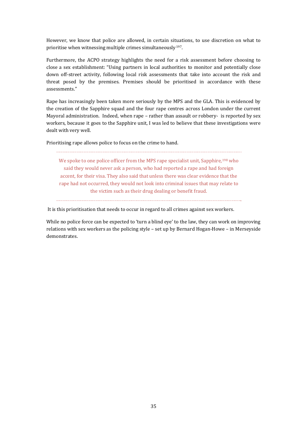However, we know that police are allowed, in certain situations, to use discretion on what to prioritise when witnessing multiple crimes simultaneously<sup>[19](#page-66-1)7</sup>.

Furthermore, the ACPO strategy highlights the need for a risk assessment before choosing to close a sex establishment: "Using partners in local authorities to monitor and potentially close down off-street activity, following local risk assessments that take into account the risk and threat posed by the premises. Premises should be prioritised in accordance with these assessments."

Rape has increasingly been taken more seriously by the MPS and the GLA. This is evidenced by the creation of the Sapphire squad and the four rape centres across London under the current Mayoral administration. Indeed, when rape – rather than assault or robbery- is reported by sex workers, because it goes to the Sapphire unit, I was led to believe that these investigations were dealt with very well.

Prioritising rape allows police to focus on the crime to hand.

We spoke to one police officer from the MPS rape specialist unit, Sapphire,<sup>[1](#page-66-1)98</sup> who said they would never ask a person, who had reported a rape and had foreign accent, for their visa. They also said that unless there was clear evidence that the rape had not occurred, they would not look into criminal issues that may relate to the victim such as their drug dealing or benefit fraud.

It is this prioritisation that needs to occur in regard to all crimes against sex workers.

While no police force can be expected to 'turn a blind eye' to the law, they can work on improving relations with sex workers as the policing style – set up by Bernard Hogan-Howe – in Merseyside demonstrates.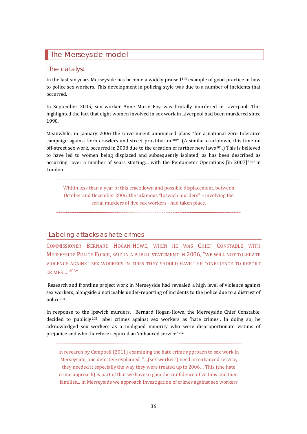# <span id="page-37-0"></span>The Merseyside model

## The catalyst

In the last six years Merseyside has become a widely praised<sup>[19](#page-66-1)9</sup> example of good practice in how to police sex workers. This development in policing style was due to a number of incidents that occurred.

In September 2005, sex worker Anne Marie Foy was brutally murdered in Liverpool. This highlighted the fact that eight women involved in sex work in Liverpool had been murdered since 1990.

Meanwhile, in January 2006 the Government announced plans "for a national zero tolerance campaign against kerb crawlers and street prostitution<sup>[2](#page-66-1)00"</sup>. (A similar crac[kd](#page-66-1)own, this time on off-street sex work, occurred in 2008 due to the creation of further new laws<sup>201</sup>.) This is believed to have led to women being displaced and subsequently isolated, as has been described as occurring "over a number of years starting… with the Pentameter Operations [in 2007]"[20](#page-66-1)2 in London.

Within less than a year of this crackdown and possible displacement, between October and December 2006, the infamous "Ipswich murders" – involving the serial murders of five sex workers - had taken place.

## Labeling attacks as hate crimes

COMMISSIONER BERNARD HOGAN-HOWE, WHEN HE WAS CHIEF CONSTABLE WITH MERSEYSIDE POLICE FORCE, SAID IN A PUBLIC STATEMENT IN 2006, "WE WILL NOT TOLERATE VIOLENCE AGAINST SEX WORKERS IN TURN THEY SHOULD HAVE THE CONFIDENCE TO REPORT CRIMES …[2](#page-66-1)03"

 Research and frontline project work in Merseyside had revealed a high level of violence against sex workers, alongside a noticeable under-reporting of incidents to the police due to a distrust of police[20](#page-66-1)4.

In response to the Ipswich murders, Bernard Hogan-Howe, the Merseyside Chief Constable, decided to publicly[20](#page-66-1)5 label crimes against sex workers as 'hate crimes'. In doing so, he acknowledged sex workers as a maligned minority who were disproportionate victims of prejudice and who therefore required an 'enhanced service"[2](#page-66-1)06.

In research by Campbell (2011) examining the hate crime approach to sex work in Merseyside, one detective explained "…(sex workers) need an enhanced service, they needed it especially the way they were treated up to 2006… This (the hate crime approach) is part of that we have to gain the confidence of victims and their families... in Merseyside we approach investigation of crimes against sex workers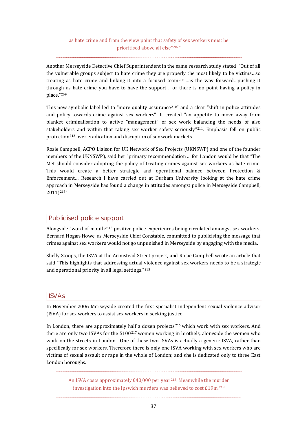Another Merseyside Detective Chief Superintendent in the same research study stated "Out of all the vulnerable groups subject to hate crime they are properly the most likely to be victims…so treating as hate crime and linking it into a focused team<sup>[2](#page-66-1)08</sup> ... is the way forward... pushing it through as hate crime you have to have the support .. or there is no point having a policy in place."[2](#page-66-1)09

This new symbolic label led to "more quality assurance<sup>[21](#page-66-1)0</sup>" and a clear "shift in police attitudes and policy towards crime against sex workers". It created "an appetite to move away from blanket criminalisation to active "management" of sex work balancing the needs of also stakehold[er](#page-66-1)s and within that taking sex worker safety seriously"[2](#page-66-1)11. Emphasis fell on public protection<sup>212</sup> over eradication and disruption of sex work markets.

Rosie Campbell, ACPO Liaison for UK Network of Sex Projects (UKNSWP) and one of the founder members of the UKNSWP), said her "primary recommendation ... for London would be that "The Met should consider adopting the policy of treating crimes against sex workers as hate crime. This would create a better strategic and operational balance between Protection & Enforcement… Research I have carried out at Durham University looking at the hate crime approach in Merseyside has found a change in attitudes amongst police in Merseyside Campbell, 2011)[2](#page-66-1)13".

# Publicised police support

Alongside "word of mouth[2](#page-66-1)14" positive police experiences being circulated amongst sex workers, Bernard Hogan-Howe, as Merseyside Chief Constable, committed to publicising the message that crimes against sex workers would not go unpunished in Merseyside by engaging with the media.

Shelly Stoops, the ISVA at the Armistead Street project, and Rosie Campbell wrote an article that said "This highlights that addressing actual violence against sex workers needs to be a strategic and operational priority in all legal settings."[21](#page-66-1)5

# ISVAs

In November 2006 Merseyside created the first specialist independent sexual violence advisor (ISVA) for sex workers to assist sex workers in seeking justice.

In London, there [a](#page-66-1)re approximately half a dozen projects<sup>[2](#page-66-1)16</sup> which work with sex workers. And there are only two ISVAs for the 5100<sup>217</sup> women working in brothels, alongside the women who work on the streets in London. One of these two ISVAs is actually a generic ISVA, rather than specifically for sex workers. Therefore there is only one ISVA working with sex workers who are victims of sexual assault or rape in the whole of London; and she is dedicated only to three East London boroughs.

> An ISVA costs approximately £40,000 per year<sup>[21](#page-66-1)8</sup>. Meanwhile the m[ur](#page-66-1)der investigation into the Ipswich murders was believed to cost  $£19m<sup>.219</sup>$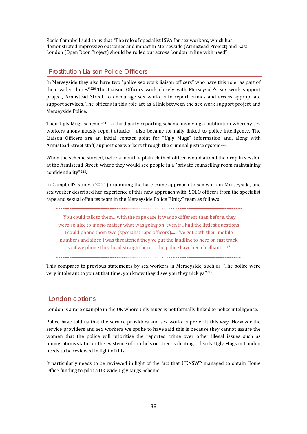Rosie Campbell said to us that "The role of specialist ISVA for sex workers, which has demonstrated impressive outcomes and impact in Merseyside (Armistead Project) and East London (Open Door Project) should be rolled out across London in line with need"

# Prostitution Liaison Police Officers

In Merseyside they also have two "police sex work liaison officers" who have this role "as part of their wider duties"[22](#page-66-1)0.The Liaison Officers work closely with Merseyside's sex work support project, Armistead Street, to encourage sex workers to report crimes and access appropriate support services. The officers in this role act as a link between the sex work support project and Merseyside Police.

Their Ugly Mugs scheme<sup>[2](#page-66-1)21</sup> – a third party reporting scheme involving a publication whereby sex workers anonymously report attacks – also became formally linked to police intelligence. The Liaison Officers are an initial contact point for "Ugly Mugs" information and, along with Armistead Street staff, support sex workers through the criminal justice system<sup>[2](#page-66-1)22</sup>.

When the scheme started, twice a month a plain clothed officer would attend the drop in session at the Armistead Street, where they would see people in a "private counselling room maintaining confidentiality"[22](#page-66-1)3.

In Campbell's study, (2011) examining the hate crime approach to sex work in Merseyside, one sex worker described her experience of this new approach with SOLO officers from the specialist rape and sexual offences team in the Merseyside Police "Unity" team as follows:

"You could talk to them…with the rape case it was so different than before, they were so nice to me no matter what was going on, even if I had the littlest questions I could phone them two (specialist rape officers)......I've got both their mobile numbers and since I was threatened they've put the landline to here on fast track so if we phone they head straight here. ...the police have been brilliant.<sup>[2](#page-66-1)24"</sup>

This compares to previous statements by sex workers in Merseyside, such as "The police were very intolerant to you at that time, you know they'd see you they nick ya<sup>[2](#page-66-1)25"</sup>.

# London options

London is a rare example in the UK where Ugly Mugs is not formally linked to police intelligence.

Police have told us that the service providers and sex workers prefer it this way. However the service providers and sex workers we spoke to have said this is because they cannot assure the women that the police will prioritise the reported crime over other illegal issues such as immigrations status or the existence of brothels or street soliciting. Clearly Ugly Mugs in London needs to be reviewed in light of this.

It particularly needs to be reviewed in light of the fact that UKNSWP managed to obtain Home Office funding to pilot a UK wide Ugly Mugs Scheme.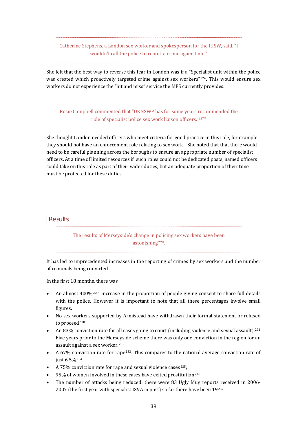Catherine Stephens, a London sex worker and spokesperson for the IUSW, said, "I wouldn't call the police to report a crime against me."

She felt that the best way to reverse this fear in London was if a "Specialist unit within the police was created which proactively targeted crime against sex workers"[2](#page-66-1)26. This would ensure sex workers do not experience the "hit and miss" service the MPS currently provides.

Rosie Campbell commented that "UKNSWP has for some years recommended the role of specialist police sex work liaison officers. [22](#page-66-1)7"

She thought London needed officers who meet criteria for good practice in this role, for example they should not have an enforcement role relating to sex work. She noted that that there would need to be careful planning across the boroughs to ensure an appropriate number of specialist officers. At a time of limited resources if such roles could not be dedicated posts, named officers could take on this role as part of their wider duties, but an adequate proportion of their time must be protected for these duties.

#### **Results**

The results of Merseyside's change in policing sex workers have been astonishing<sup>[22](#page-66-1)8</sup>.

It has led to unprecedented increases in the reporting of crimes by sex workers and the number of criminals being convicted.

In the first 18 months, there was

- An almost  $400\%$ <sup>[2](#page-66-1)29</sup> increase in the proportion of people giving consent to share full details with the police. However it is important to note that all these percentages involve small figures.
- No sex wo[rk](#page-66-1)ers supported by Armistead have withdrawn their formal statement or refused to proceed<sup>230</sup>
- An 83% conviction rate for all cases going to court (including violence and sexual assault).<sup>[2](#page-66-1)31</sup> Five years prior to the Mers[ey](#page-66-1)side scheme there was only one conviction in the region for an assault against a sex worker.232
- A 67% conviction rate for rape<sup>[2](#page-66-1)33</sup>. This compares to the national average conviction rate of just 6.5%[2](#page-66-1)34.
- A 75% conviction rate for rape and sexual violence cases<sup>[2](#page-66-1)35</sup>;
- 95% of women involved in these cases have exited prostitution<sup>[2](#page-66-1)36</sup>
- The number of attacks being reduced: there were 83 Ugly Mug reports received in 2006- 2007 (the first year with specialist ISVA in post) so far there have been 19[2](#page-66-1)37.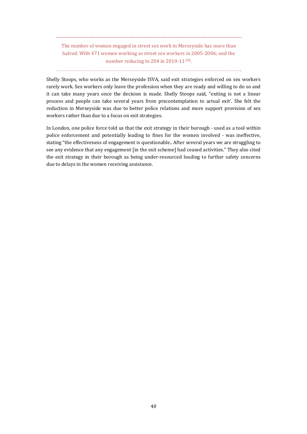The number of women engaged in street sex work in Merseyside has more than halved. With 471 women working as street sex workers in 2005-2006; and the number reducing to [2](#page-66-1)04 in 2010-11<sup>238</sup>.

Shelly Stoops, who works as the Merseyside ISVA, said exit strategies enforced on sex workers rarely work. Sex workers only leave the profession when they are ready and willing to do so and it can take many years once the decision is made. Shelly Stoops said, "exiting is not a linear process and people can take several years from precontemplation to actual exit'. She felt the reduction in Merseyside was due to better police relations and more support provision of sex workers rather than due to a focus on exit strategies.

In London, one police force told us that the exit strategy in their borough - used as a tool within police enforcement and potentially leading to fines for the women involved - was ineffective, stating "the effectiveness of engagement is questionable.. After several years we are struggling to see any evidence that any engagement [in the exit scheme] had ceased activities." They also cited the exit strategy in their borough as being under-resourced leading to further safety concerns due to delays in the women receiving assistance.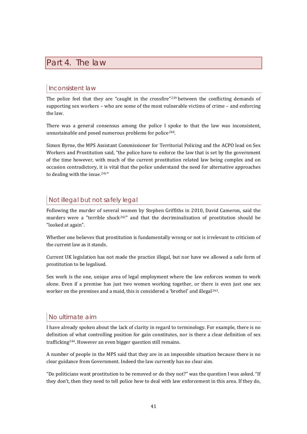# <span id="page-42-0"></span>Part 4. The law

# Inconsistent law

The police feel that they are "caught in the crossfire"<sup>[23](#page-66-1)9</sup> between the conflicting demands of supporting sex workers – who are some of the most vulnerable victims of crime – and enforcing the law.

There was a general consensus among the police I spoke to that the law was inconsistent, unsustainable and posed numerous problems for police[2](#page-66-1)40.

Simon Byrne, the MPS Assistant Commissioner for Territorial Policing and the ACPO lead on Sex Workers and Prostitution said, "the police have to enforce the law that is set by the government of the time however, with much of the current prostitution related law being complex and on occasion contradictory, it is vital that the police understand the need for alternative approaches to dealing with the issue.<sup>[24](#page-66-1)1"</sup>

# Not illegal but not safely legal

Following the murder of several women by Stephen Griffiths in 2010, David Cameron, said the murders were a "terrible shock<sup>[24](#page-66-1)2"</sup> and that the decriminalization of prostitution should be "looked at again".

Whether one believes that prostitution is fundamentally wrong or not is irrelevant to criticism of the current law as it stands.

Current UK legislation has not made the practice illegal, but nor have we allowed a safe form of prostitution to be legalised.

Sex work is the one, unique area of legal employment where the law enforces women to work alone. Even if a premise has just two women working together, or there is even just one sex worker on the premises and a maid, this is considered a 'brothel' and illegal<sup>[2](#page-66-1)43</sup>.

# No ultimate aim

I have already spoken about the lack of clarity in regard to terminology. For example, there is no definition of what controlling position for gain constitutes, nor is there a clear definition of sex trafficking[2](#page-66-1)44. However an even bigger question still remains.

A number of people in the MPS said that they are in an impossible situation because there is no clear guidance from Government. Indeed the law currently has no clear aim.

"Do politicians want prostitution to be removed or do they not?" was the question I was asked. "If they don't, then they need to tell police how to deal with law enforcement in this area. If they do,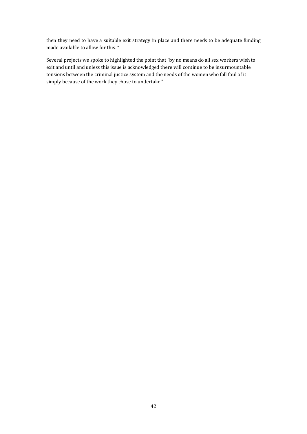then they need to have a suitable exit strategy in place and there needs to be adequate funding made available to allow for this. "

Several projects we spoke to highlighted the point that "by no means do all sex workers wish to exit and until and unless this issue is acknowledged there will continue to be insurmountable tensions between the criminal justice system and the needs of the women who fall foul of it simply because of the work they chose to undertake."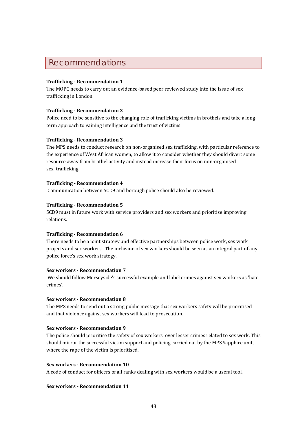# <span id="page-44-0"></span>Recommendations

#### **Trafficking Recommendation 1**

The MOPC needs to carry out an evidence-based peer reviewed study into the issue of sex trafficking in London.

#### **Trafficking Recommendation 2**

Police need to be sensitive to the changing role of trafficking victims in brothels and take a longterm approach to gaining intelligence and the trust of victims.

#### **Trafficking Recommendation 3**

The MPS needs to conduct research on non-organised sex trafficking, with particular reference to the experience of West African women, to allow it to consider whether they should divert some resource away from brothel activity and instead increase their focus on non-organised sex trafficking.

#### **Trafficking Recommendation 4**

Communication between SCD9 and borough police should also be reviewed.

#### **Trafficking Recommendation 5**

SCD9 must in future work with service providers and sex workers and prioritise improving relations.

#### **Trafficking Recommendation 6**

There needs to be a joint strategy and effective partnerships between police work, sex work projects and sex workers. The inclusion of sex workers should be seen as an integral part of any police force's sex work strategy.

#### **Sex workers Recommendation 7**

 We should follow Merseyside's successful example and label crimes against sex workers as 'hate crimes'.

#### **Sex workers Recommendation 8**

The MPS needs to send out a strong public message that sex workers safety will be prioritised and that violence against sex workers will lead to prosecution.

#### **Sex workers Recommendation 9**

The police should prioritise the safety of sex workers over lesser crimes related to sex work. This should mirror the successful victim support and policing carried out by the MPS Sapphire unit, where the rape of the victim is prioritised.

#### **Sex workers Recommendation 10**

A code of conduct for officers of all ranks dealing with sex workers would be a useful tool.

#### **Sex workers Recommendation 11**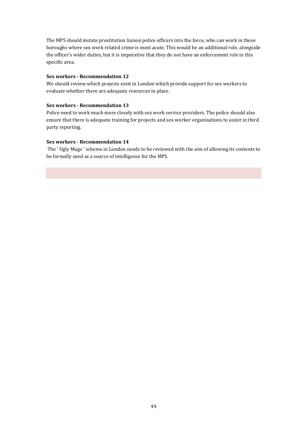The MPS should instate prostitution liaison police officers into the force, who can work in those boroughs where sex work related crime is most acute. This would be an additional role, alongside the officer's wider duties, but it is imperative that they do not have an enforcement role in this specific area.

#### **Sex workers Recommendation 12**

We should review which projects exist in London which provide support for sex workers to evaluate whether there are adequate resources in place.

#### **Sex workers Recommendation 13**

Police need to work much more closely with sex work service providers. The police should also ensure that there is adequate training for projects and sex worker organisations to assist in third party reporting.

#### **Sex workers Recommendation 14**

 The ' Ugly Mugs ' scheme in London needs to be reviewed with the aim of allowing its contents to be formally used as a source of intelligence for the MPS.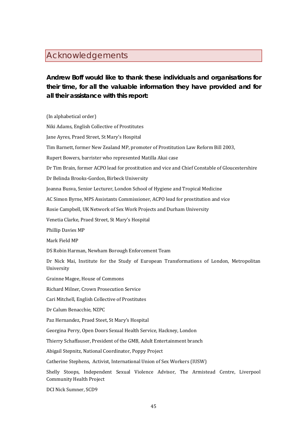# <span id="page-46-0"></span>Acknowledgements

# **Andrew Boff would like to thank these individuals and organisations for their time, for all the valuable information they have provided and for all their assistance with this report:**

(In alphabetical order) Niki Adams, English Collective of Prostitutes Jane Ayres, Praed Street, St Mary's Hospital Tim Barnett, former New Zealand MP, promoter of Prostitution Law Reform Bill 2003, Rupert Bowers, barrister who represented Matilla Akai case Dr Tim Brain, former ACPO lead for prostitution and vice and Chief Constable of Gloucestershire Dr Belinda Brooks-Gordon, Birbeck University Joanna Busva, Senior Lecturer, London School of Hygiene and Tropical Medicine AC Simon Byrne, MPS Assistants Commissioner, ACPO lead for prostitution and vice Rosie Campbell, UK Network of Sex Work Projects and Durham University Venetia Clarke, Praed Street, St Mary's Hospital Phillip Davies MP Mark Field MP DS Robin Harman, Newham Borough Enforcement Team Dr Nick Mai, Institute for the Study of European Transformations of London, Metropolitan University Grainne Magee, House of Commons Richard Milner, Crown Prosecution Service Cari Mitchell, English Collective of Prostitutes Dr Calum Benacchie, NZPC Paz Hernandez, Praed Steet, St Mary's Hospital Georgina Perry, Open Doors Sexual Health Service, Hackney, London Thierry Schaffauser, President of the GMB, Adult Entertainment branch Abigail Stepnitz, National Coordinator, Poppy Project Catherine Stephens, Activist, International Union of Sex Workers (IUSW) Shelly Stoops, Independent Sexual Violence Advisor, The Armistead Centre, Liverpool Community Health Project

DCI Nick Sumner, SCD9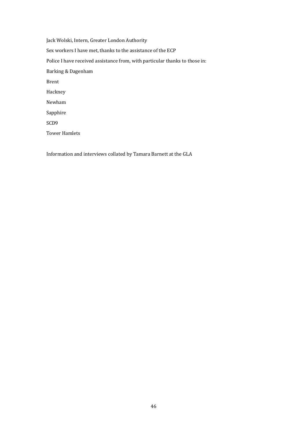Jack Wolski, Intern, Greater London Authority Sex workers I have met, thanks to the assistance of the ECP Police I have received assistance from, with particular thanks to those in: Barking & Dagenham Brent Hackney Newham Sapphire SCD9 Tower Hamlets

Information and interviews collated by Tamara Barnett at the GLA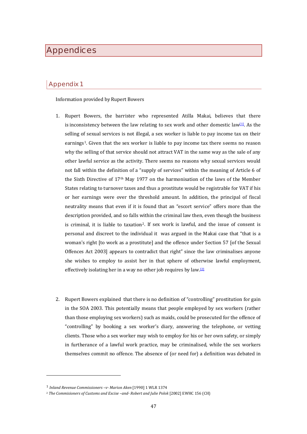# <span id="page-48-0"></span>**Appendices**

# Appendix 1

Information provided by Rupert Bowers

- 1. Rupert Bowers, the barrister who represented Atilla Makai, believes that there is inconsistency between the law relating to sex work and other domestic law $[11]$ . As the selling of sexual services is not illegal, a sex worker is liable to pay income tax on their earnings[1](#page-48-1). Given that the sex worker is liable to pay income tax there seems no reason why the selling of that service should not attract VAT in the same way as the sale of any other lawful service as the activity. There seems no reasons why sexual services would not fall within the definition of a "supply of services" within the meaning of Article 6 of the Sixth Directive of 17th May 1977 on the harmonisation of the laws of the Member States relating to turnover taxes and thus a prostitute would be registrable for VAT if his or her earnings were over the threshold amount. In addition, the principal of fiscal neutrality means that even if it is found that an "escort service" offers more than the description provided, and so falls within the criminal law then, even though the business is criminal, it is liable to taxation[2.](#page-48-2) If sex work is lawful, and the issue of consent is personal and discreet to the individual it was argued in the Makai case that "that is a woman's right [to work as a prostitute] and the offence under Section 57 [of the Sexual Offences Act 2003] appears to contradict that right" since the law criminalises anyone she wishes to employ to assist her in that sphere of otherwise lawful employment, effectively isolating her in a way no other job requires by law.<sup>[\[2\]](https://mail.google.com/mail/?ui=2&view=bsp&ver=ohhl4rw8mbn4#135c4d363c8d7d9a__ftn2)</sup>
- 2. Rupert Bowers explained that there is no definition of "controlling" prostitution for gain in the SOA 2003. This potentially means that people employed by sex workers (rather than those employing sex workers) such as maids, could be prosecuted for the offence of "controlling" by booking a sex worker's diary, answering the telephone, or vetting clients. Those who a sex worker may wish to employ for his or her own safety, or simply in furtherance of a lawful work practice, may be criminalised, while the sex workers themselves commit no offence. The absence of (or need for) a definition was debated in

 $\overline{a}$ 

<span id="page-48-1"></span><sup>1</sup> *Inland Revenue Commissioners –v Marion Aken* [1990] 1 WLR 1374

<span id="page-48-2"></span><sup>2</sup> *The Commisioners of Customs and Excise –and Robert and Julie Polok* [2002] EWHC 156 (CH)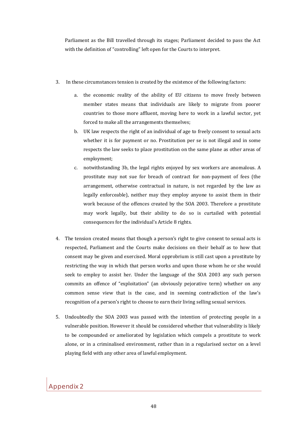Parliament as the Bill travelled through its stages; Parliament decided to pass the Act with the definition of "controlling" left open for the Courts to interpret.

- 3. In these circumstances tension is created by the existence of the following factors:
	- a. the economic reality of the ability of EU citizens to move freely between member states means that individuals are likely to migrate from poorer countries to those more affluent, moving here to work in a lawful sector, yet forced to make all the arrangements themselves;
	- b. UK law respects the right of an individual of age to freely consent to sexual acts whether it is for payment or no. Prostitution per se is not illegal and in some respects the law seeks to place prostitution on the same plane as other areas of employment;
	- c. notwithstanding 3b, the legal rights enjoyed by sex workers are anomalous. A prostitute may not sue for breach of contract for non-payment of fees (the arrangement, otherwise contractual in nature, is not regarded by the law as legally enforceable), neither may they employ anyone to assist them in their work because of the offences created by the SOA 2003. Therefore a prostitute may work legally, but their ability to do so is curtailed with potential consequences for the individual's Article 8 rights.
- 4. The tension created means that though a person's right to give consent to sexual acts is respected, Parliament and the Courts make decisions on their behalf as to how that consent may be given and exercised. Moral opprobrium is still cast upon a prostitute by restricting the way in which that person works and upon those whom he or she would seek to employ to assist her. Under the language of the SOA 2003 any such person commits an offence of "exploitation" (an obviously pejorative term) whether on any common sense view that is the case, and in seeming contradiction of the law's recognition of a person's right to choose to earn their living selling sexual services.
- 5. Undoubtedly the SOA 2003 was passed with the intention of protecting people in a vulnerable position. However it should be considered whether that vulnerability is likely to be compounded or ameliorated by legislation which compels a prostitute to work alone, or in a criminalised environment, rather than in a regularised sector on a level playing field with any other area of lawful employment.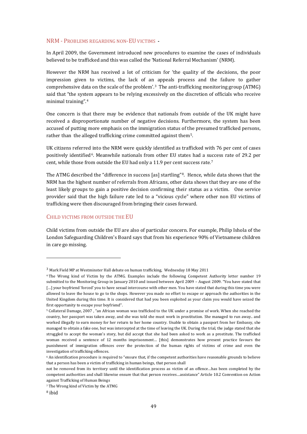#### NRM - PROBLEMS REGARDING NON-EU VICTIMS

In April 2009, the Government introduced new procedures to examine the cases of individuals believed to be trafficked and this was called the 'National Referral Mechanism' (NRM).

However the NRM has received a lot of criticism for 'the quality of the decisions, the poor impression given to victims, the lack of an appeals process and the failure to gather comprehensive data on the scale of the problem'.[3](#page-50-0) The anti-trafficking monitoring group (ATMG) said that "the syst[e](#page-50-1)m appears to be relying excessively on the discretion of officials who receive minimal training".4

One concern is that there may be evidence that nationals from outside of the UK might have received a disproportionate number of negative decisions. Furthermore, the system has been accused of putting more emphasis on the immigration status of the presumed trafficked persons, rather than the alleged trafficking crime committed against them[5](#page-50-2).

UK citizens referred into the NRM were quickly identified as trafficked with 76 per cent of cases positively identified[6](#page-50-3). Meanwhile nationals from other EU states had a s[uc](#page-50-4)cess rate of 29.2 per cent, while those from outside the EU had only a 11.9 per cent success rate.7

The ATMG described the "difference in success [as] startling"<sup>[8](#page-50-5)</sup>. Hence, while data shows that the NRM has the highest number of referrals from Africans, other data shows that they are one of the least likely groups to gain a positive decision confirming their status as a victim. One service provider said that the high failure rate led to a "vicious cycle" where other non EU victims of trafficking were then discouraged from bringing their cases forward.

#### CHILD VICTIMS FROM OUTSIDE THE EU

Child victims from outside the EU are also of particular concern. For example, Philip Ishola of the London Safeguarding Children's Board says that from his experience 90% of Vietnamese children in care go missing.

 $\overline{a}$ 

<span id="page-50-0"></span><sup>3</sup> Mark Field MP at Westminster Hall debate on human trafficking, Wednesday 18 May 2011

<span id="page-50-1"></span><sup>4</sup> The Wrong kind of Victim by the ATMG. Examples include the following Competent Authority letter number 19 submitted to the Monitoring Group in January 2010 and issued between April 2009 – August 2009. "You have stated that [...] your boyfriend 'forced' you to have sexual intercourse with other men. You have stated that during this time you were allowed to leave the house to go to the shops. However you made no effort to escape or approach the authorities in the United Kingdom during this time. It is considered that had you been exploited as your claim you would have seized the first opportunity to escape your boyfriend".

<span id="page-50-2"></span><sup>5</sup> Collateral Damage, 2007 , "an African woman was trafficked to the UK under a promise of work. When she reached the country, her passport was taken away, and she was told she must work in prostitution. She managed to run away.. and worked illegally to earn money for her return to her home country. Unable to obtain a passport from her Embassy, she managed to obtain a fake one, but was intercepted at the time of leaving the UK. During the trial, the judge stated that she struggled to accept the woman's story, but did accept that she had been asked to work as a prostitute. The trafficked woman received a sentence of 12 months imprisonment… [this] demonstrates how present practice favours the punishment of immigration offences over the protection of the human rights of victims of crime and even the investigation of trafficking offences.

<span id="page-50-3"></span><sup>6</sup> An identification procedure is required to "ensure that, if the competent authorities have reasonable grounds to believe that a person has been a victim of trafficking in human beings, that person shall

not be removed from its territory until the identification process as victim of an offence…has been completed by the competent authorities and shall likewise ensure that that person receives…assistance" Article 10.2 Convention on Action against Trafficking of Human Beings

<span id="page-50-5"></span><span id="page-50-4"></span><sup>7</sup> The Wrong kind of Victim by the ATMG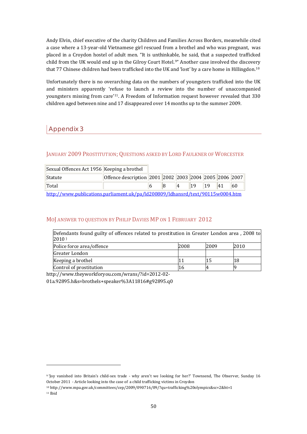Andy Elvin, chief executive of the charity Children and Families Across Borders, meanwhile cited a case where a 13-year-old Vietnamese girl rescued from a brothel and who was pregnant, was placed in a Croydon hostel of adult men. "It is unthinkable, he said, that a suspected trafficked child from the UK would end up in the Gilroy Court Hotel.[9"](#page-51-0) Another case involved the discove[r](#page-51-1)y that 77 Chinese children had been trafficked into the UK and 'lost' by a care home in Hillingdon.10

Unfortunately there is no overarching data on the numbers of youngsters trafficked into the UK and ministers apparently 'refuse to launch a review into the number of unaccompanied youngsters missing from care'[1](#page-51-2)1. A Freedom of Information request however revealed that 330 children aged between nine and 17 disappeared over 14 months up to the summer 2009.

# Appendix 3

# JANUARY 2009 PROSTITUTION; QUESTIONS ASKED BY LORD FAULKNER OF WORCESTER

| Sexual Offences Act 1956 Keeping a brothel                                     |                                                                             |  |  |           |    |    |    |               |
|--------------------------------------------------------------------------------|-----------------------------------------------------------------------------|--|--|-----------|----|----|----|---------------|
| Statute                                                                        | Offence description    2001    2002    2003    2004    2005    2006    2007 |  |  |           |    |    |    |               |
| Total                                                                          |                                                                             |  |  | $\vert 4$ | 19 | 19 | 41 | <sup>60</sup> |
| http://www.publications.parliament.uk/pa/ld200809/ldhansrd/text/90115w0004.htm |                                                                             |  |  |           |    |    |    |               |

## MOJ ANSWER TO QUESTION BY PHILIP DAVIES MP ON 1 FEBRUARY 2012

| Defendants found guilty of offences related to prostitution in Greater London area, 2008 to<br>2010 |      |      |      |  |  |  |
|-----------------------------------------------------------------------------------------------------|------|------|------|--|--|--|
| Police force area/offence                                                                           | 2008 | 2009 | 2010 |  |  |  |
| Greater London                                                                                      |      |      |      |  |  |  |
| Keeping a brothel                                                                                   |      | 15   | 18   |  |  |  |
| Control of prostitution                                                                             | 16   |      |      |  |  |  |

http://www.theyworkforyou.com/wrans/?id=2012-02-

01a.92895.h&s=brothels+speaker%3A11816#g92895.q0

 $\overline{a}$ 

<span id="page-51-0"></span><sup>9 &#</sup>x27;Joy vanished into Britain's child-sex trade - why aren't we looking for her?' Townsend, The Observer, Sunday 16 October 2011 - Article looking into the case of a child trafficking victims in Croydon

<span id="page-51-2"></span><span id="page-51-1"></span><sup>10</sup> http://www.mpa.gov.uk/committees/cep/2009/090716/09/?qu=trafficking%20olympics&sc=2&ht=1 11 Ibid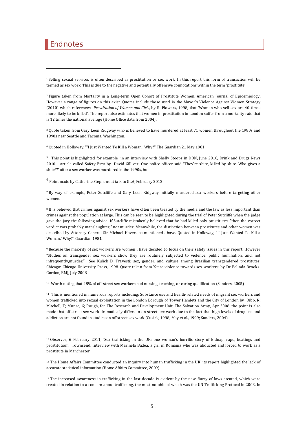# <span id="page-52-0"></span>Endnotes

 $\overline{a}$ 

1 Selling sexual services is often described as prostitution or sex work. In this report this form of transaction will be termed as sex work. This is due to the negative and potentially offensive connotations within the term 'prostitute'

2 Figure taken from Mortality in a Long-term Open Cohort of Prostitute Women, American Journal of Epidemiology. However a range of figures on this exist. Quotes include those used in the Mayor's Violence Against Women Strategy (2010) which references *Prostitution of Women and Girls*, by R. Flowers, 1998, that 'Women who sell sex are 40 times more likely to be killed'. The report also estimates that women in prostitution in London suffer from a mortality rate that is 12 times the national average (Home Office data from 2004).

3 Quote taken from Gary Leon Ridgway who is believed to have murdered at least 71 women throughout the 1980s and 1990s near Seattle and Tacoma, Washington.

4 Quoted in Holloway, "'I Just Wanted To Kill a Woman.' Why?" The Guardian 21 May 1981

5 This point is highlighted for example in an interview with Shelly Stoops in DDN, June 2010, Drink and Drugs News 2010 – article called Safety First by David Gilliver: One police officer said "They're shite, killed by shite. Who gives a shite5?' after a sex worker was murdered in the 1990s, but

 $^6$  Point made by Catherine Stephens at talk to GLA, February 2012

7 By way of example, Peter Sutcliffe and Gary Leon Ridgway initially murdered sex workers before targeting other women.

<sup>8</sup> It is believed that crimes against sex workers have often been treated by the media and the law as less important than crimes against the population at large. This can be seen to be highlighted during the trial of Peter Sutcliffe when the judge gave the jury the following advice: If Sutcliffe mistakenly believed that he had killed only prostitutes, "then the correct verdict was probably manslaughter," not murder. Meanwhile, the distinction between prostitutes and other women was described by Attorney General Sir Michael Havers as mentioned above. Quoted in Holloway, "'I Just Wanted To Kill a Woman.' Why?" Guardian 1981.

9 Because the majority of sex workers are women I have decided to focus on their safety issues in this report. However "Studies on transgender sex workers show they are routinely subjected to violence, public humiliation, and, not infrequently,murder." See Kulick D. Travesti: sex, gender, and culture among Brazilian transgendered prostitutes. Chicago: Chicago University Press, 1998. Quote taken from 'State violence towards sex workers' by Dr Belinda Brooks-Gordon, BMJ, July 2008

10 Worth noting that 48% of off-street sex workers had nursing, teaching, or caring qualification (Sanders, 2005)

<sup>11</sup> This is mentioned in numerous reports including: Substance use and health-related needs of migrant sex workers and women trafficked into sexual exploitation in the London Borough of Tower Hamlets and the City of London by Dibb, R; Mitchell, T; Munro, G; Rough, for The Research and Development Unit, The Salvation Army, Apr 2006. the point is also made that off street sex work dramatically differs to on-street sex work due to the fact that high levels of drug use and addiction are not found in studies on off street sex work (Cusick, 1998; May et al., 1999; Sanders, 2004)

12 Observer, 6 February 2011, 'Sex trafficking in the UK: one woman's horrific story of kidnap, rape, beatings and prostitution', Townsend. Interview with Marinela Badea, a girl in Romania who was abducted and forced to work as a prostitute in Manchester

<sup>13</sup> The Home Affairs Committee conducted an inquiry into human trafficking in the UK; its report highlighted the lack of accurate statistical information (Home Affairs Committee, 2009).

<sup>14</sup> The increased awareness in trafficking in the last decade is evident by the new flurry of laws created, which were created in relation to a concern about trafficking, the most notable of which was the UN Trafficking Protocol in 2003. In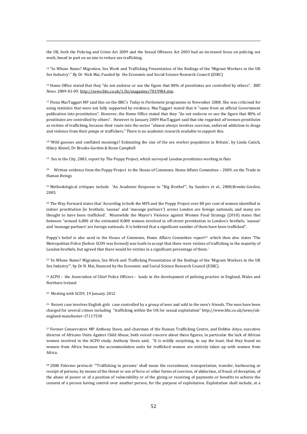the UK, both the Policing and Crime Act 2009 and the Sexual Offences Act 2003 had an increased focus on policing sex work, based in part on an aim to reduce sex trafficking.

15 "In Whose Name? Migration, Sex Work and Trafficking Presentation of the findings of the 'Migrant Workers in the UK Sex Industry'." By Dr Nick Mai, Funded by the Economic and Social Science Research Council (ESRC)

16 Home Office stated that they "do not endorse or use the figure that 80% of prostitutes are controlled by others". *BBC News*. 2009-01-09. http://news.bbc.co.uk/1/hi/magazine/7819984.stm.

17 Fiona MacTaggart MP said this on the BBC's *Today in Parliament* programme in November 2008. She was criticised for using statistics that were not fully supported by evidence. MacTaggart stated that it "came from an official Government publication into prostitution". However, the Home Office stated that they "do not endorse or use the figure that 80% of prostitutes are controlled by others". However in January 2009 MacTaggart said that she regarded *all* women prostitutes as victims of trafficking, because their route into the sector "almost always involves coercion, enforced addiction to drugs and violence from their pimps or traffickers." There is no academic research available to support this.

18 'Wild guesses and conflated meanings? Estimating the size of the sex worker population in Britain', by Linda Cusick, Hilary Kinnel, Dr Brooks-Gordon & Rosie Campbell

19 Sex in the City, 2003, report by The Poppy Project, which surveyed London prostitutes working in flats

<sup>20</sup> Written evidence from the Poppy Project to the House of Commons. Home Affairs Committee – 2009, on the Trade in Human Beings

21 Methodological critiques include 'An Academic Response to "Big Brothel"', by Sanders et al., 2008;Brooks-Gordon, 2005.

<sup>22</sup> The Way Forward states that 'According to both the MPS and the Poppy Project over 80 per cent of women identified in indoor prostitution (ie brothels, 'saunas' and 'massage parlours') across London are foreign nationals, and many are thought to have been trafficked'. Meanwhile the Mayor's Violence against Women Final Strategy (2010) states that between "around 6,000 of the estimated 8,000 women involved in off-street prostitution in London's brothels, 'saunas' and 'massage parlours' are foreign nationals. It is believed that a significant number of them have been trafficked".

Poppy's belief is also used in the House of Commons, Home Affairs Committee report<sup>22</sup> which then also states 'The Metropolitan Police [before SCD9 was formed] was loath to accept that there were victims of trafficking in the majority of London brothels, but agreed that there would be victims in a significant percentage of them.'

<sup>23</sup> 'In Whose Name? Migration, Sex Work and Trafficking Presentation of the findings of the 'Migrant Workers in the UK Sex Industry'", by Dr N. Mai, financed by the Economic and Social Science Research Council (ESRC).

24 ACPO – the Association of Chief Police Officers - leads in the development of policing practice in England, Wales and Northern Ireland

25 Meeting with SCD9, 19 January 2012

 $\overline{a}$ 

<sup>26</sup> Recent case involves English girls case controlled by a group of men and sold to the men's friends. The men have been charged for several crimes including "trafficking within the UK for sexual exploitation" http://www.bbc.co.uk/news/ukengland-manchester-17117530

27 Former Conservative MP Anthony Steen, and chairman of the Human Trafficking Centre, and Debbie Ariyo, executive director of Africans Unite Against Child Abuse, both voiced concern about these figures, in particular the lack of African women involved in the ACPO study. Anthony Steen said, "It is mildly surprising, to say the least, that they found no women from Africa because the accommodation units for trafficked women are entirely taken up with women from Africa.

28 2000 Palermo protocol: "'Trafficking in persons' shall mean the recruitment, transportation, transfer, harbouring or receipt of persons, by means of the threat or use of force or other forms of coercion, of abduction, of fraud, of deception, of the abuse of power or of a position of vulnerability or of the giving or receiving of payments or benefits to achieve the consent of a person having control over another person, for the purpose of exploitation. Exploitation shall include, at a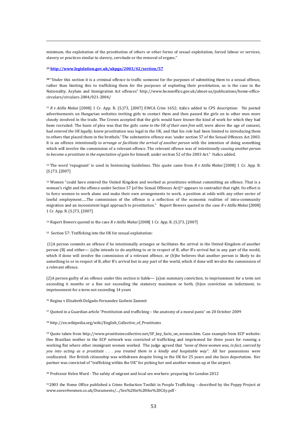minimum, the exploitation of the prostitution of others or other forms of sexual exploitation, forced labour or services, slavery or practices similar to slavery, servitude or the removal of organs."

#### **<sup>29</sup> http://www.legislation.gov.uk/ukpga/2003/42/section/57**

 $\overline{a}$ 

**<sup>30</sup>** "Under this section it is a criminal offence to traffic someone for the purposes of submitting them to a sexual offence, rather than limiting this to trafficking them for the purposes of exploiting their prostitution, as is the case in the Nationality, Asylum and Immigration Act offences" http://www.homeoffice.gov.uk/about-us/publications/home-officecirculars/circulars-2004/021-2004/

<sup>31</sup> *R v Atilla Makai* [2008] 1 Cr. App. R. (S.)73, [2007] EWCA Crim 1652; italics added to CPS description: 'He posted advertisements on Hungarian websites inviting girls to contact them and then passed the girls on to other men more closely involved in the trade. The Crown accepted that the girls would have *known* the kind of work for which they had been recruited. The basis of plea was that the girls *came to the UK of their own free will*, were above the age of consent, had *entered the UK legally*, knew prostitution was legal in the UK, and that his role had been limited to introducing them to others that placed them in the brothels.' The substantive offence was 'under section 57 of the Sexual Offences Act 2003. It is an offence *intentionally to arrange or facilitate the arrival of another person* with the intention of doing something which will involve the commission of a relevant offence. The relevant offence was of *intentionally causing another person to become a prostitute in the expectation of gain* for himself, under section 52 of the 2003 Act." Italics added.

32 The word 'repugnant' is used in Sentencing Guidelines. This quote came from *R v Atilla Makai* [2008] 1 Cr. App. R. (S.)73, [2007]

33 Women "could have entered the United Kingdom and worked as prostitutes without committing an offence. That is a woman's right and the offence under Section 57 [of the Sexual Offences Act]<sup>33</sup> appears to contradict that right. Its effect is to force women to work alone and make their own arrangements to work, a position at odds with any other sector of lawful employment…..The commission of the offence is a reflection of the economic realities of intra-community migration and an inconsistent legal approach to prostitution." Rupert Bowers quoted in the case *R v Atilla Makai* [2008] 1 Cr. App. R. (S.)73, [2007]

34 Rupert Bowers quoted in the case *R v Atilla Makai* [2008] 1 Cr. App. R. (S.)73, [2007]

35 Section 57: Trafficking into the UK for sexual exploitation:

 (1)A person commits an offence if he intentionally arranges or facilitates the arrival in the United Kingdom of another person (B) and either— (a)he intends to do anything to or in respect of B, after B's arrival but in any part of the world, which if done will involve the commission of a relevant offence, or (b)he believes that another person is likely to do something to or in respect of B, after B's arrival but in any part of the world, which if done will involve the commission of a relevant offence.

(2)A person guilty of an offence under this section is liable— (a)on summary conviction, to imprisonment for a term not exceeding 6 months or a fine not exceeding the statutory maximum or both; (b)on conviction on indictment, to imprisonment for a term not exceeding 14 years

36 Regina v Elisabeth Delgado-Fernandez Godwin Zammit

37 Quoted in a Guardian article 'Prostitution and trafficking – the anatomy of a moral panic' on 20 October 2009

38 http://en.wikipedia.org/wiki/English\_Collective\_of\_Prostitutes

39 Quote taken from http://www.prostitutescollective.net/SF\_key\_facts\_on\_women.htm. Case example from ECP website: One Brazilian mother in the ECP network was convicted of trafficking and imprisoned for three years for running a working flat where other immigrant women worked. The judge agreed that *"none of these women was, in fact, coerced by* you into acting as a prostitute . . . you treated them in a kindly and hospitable way". All her possessions were confiscated. Her British citizenship was withdrawn despite living in the UK for 25 years and she faces deportation. Her partner was convicted of "trafficking within the UK" for picking her and another woman up at the airport.

40 Professor Helen Ward - The safety of migrant and local sex workers: preparing for London 2012

412003 the Home Office published a Crime Reduction Toolkit in People Trafficking – described by the Poppy Project at www.eaves4women.co.uk/Documents/.../Sex%20in%20the%20City.pdf -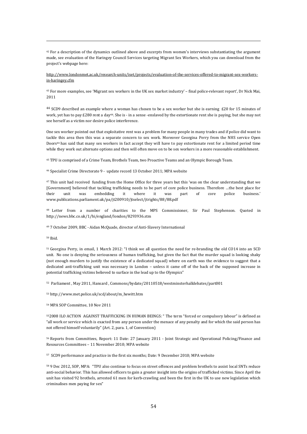42 For a description of the dynamics outlined above and excerpts from women's interviews substantiating the argument made, see evaluation of the Haringey Council Services targeting Migrant Sex Workers, which you can download from the project's webpage here:

http://www.londonmet.ac.uk/research-units/iset/projects/evaluation-of-the-services-offered-to-migrant-sex-workersin-haringey.cfm

43 For more examples, see 'Migrant sex workers in the UK sex market industry' – final police-relevant report', Dr Nick Mai, 2011

<sup>44</sup> SCD9 described an example where a woman has chosen to be a sex worker but she is earning £20 for 15 minutes of work, yet has to pay £280 rent a day44. She is - in a sense -enslaved by the extortionate rent she is paying; but she may not see herself as a victim nor desire police interference.

One sex worker pointed out that exploitative rent was a problem for many people in many trades and if police did want to tackle this area then this was a separate concern to sex work. Moreover Georgina Perry from the NHS service Open Doors44 has said that many sex workers in fact accept they will have to pay extortionate rent for a limited period time while they work out alternate options and then will often move on to be sex workers in a more reasonable establishment.

45 TPU is comprised of a Crime Team, Brothels Team, two Proactive Teams and an Olympic Borough Team.

46 Specialist Crime Directorate 9 - update record 13 October 2011; MPA website

<sup>47</sup> This unit had received funding from the Home Office for three years but this 'was on the clear understanding that we [Government] believed that tackling trafficking needs to be part of core police business. Therefore …the best place for unit was embedding it where it was part of core police business.' www.publications.parliament.uk/pa/jt200910/jtselect/jtrights/88/88.pdf

48 Letter from a number of charities to the MPS Commissioner, Sir Paul Stephenson. Quoted in http://news.bbc.co.uk/1/hi/england/london/8293936.stm

49 7 October 2009, BBC - Aidan McQuade, director of Anti-Slavery International

50 Ibid.

 $\overline{a}$ 

51 Georgina Perry, in email, 1 March 2012: "I think we all question the need for re-branding the old CO14 into an SCD unit. No one is denying the seriousness of human trafficking, but given the fact that the murder squad is looking shaky (not enough murders to justify the existence of a dedicated squad) where on earth was the evidence to suggest that a dedicated anti-trafficking unit was necessary in London – unless it came off of the back of the supposed increase in potential trafficking victims believed to surface in the lead up to the Olympics"

52 Parliament , May 2011, Hansard , Commons/bydate/20110518/westminsterhalldebates/part001

53 http://www.met.police.uk/scd/about/m\_hewitt.htm

54 MPA SOP Committee, 10 Nov 2011

552008 ILO ACTION AGAINST TRAFFICKING IN HUMAN BEINGS: " The term "forced or compulsory labour" is defined as "all work or service which is exacted from any person under the menace of any penalty and for which the said person has not offered himself voluntarily" (Art. 2, para. 1, of Convention)

56 Reports from Committees, Report: 11 Date: 27 January 2011 - Joint Strategic and Operational Policing/Finance and Resources Committees – 11 November 2010; MPA website

57 SCD9 performance and practice in the first six months; Date: 9 December 2010; MPA website

58 9 Dec 2012, SOP, MPA: "TPU also continue to focus on street offences and problem brothels to assist local SNTs reduce anti-social behavior. This has allowed officers to gain a greater insight into the origins of trafficked victims. Since April the unit has visited 92 brothels, arrested 61 men for kerb-crawling and been the first in the UK to use new legislation which criminalises men paying for sex"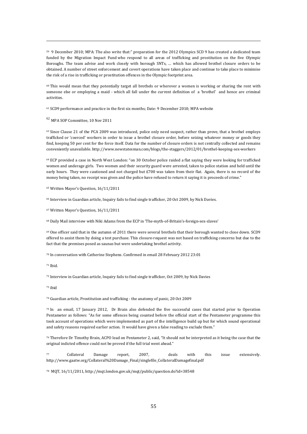59 9 December 2010; MPA: The also write that:" preparation for the 2012 Olympics SCD 9 has created a dedicated team funded by the Migration Impact Fund who respond to all areas of trafficking and prostitution on the five Olympic Boroughs. The team advise and work closely with borough SNTs, … which has allowed brothel closure orders to be obtained. A number of street enforcement and covert operations have taken place and continue to take place to minimise the risk of a rise in trafficking or prostitution offences in the Olympic footprint area.

60 This would mean that they potentially target all brothels or wherever a women is working or sharing the rent with someone else or employing a maid - which all fall under the current definition of a 'brothel' and hence are criminal activities.

61 SCD9 performance and practice in the first six months; Date: 9 December 2010; MPA website

<sup>62</sup> MPA SOP Committee, 10 Nov 2011

 $\overline{a}$ 

<sup>63</sup> Since Clause 21 of the PCA 2009 was introduced, police only need suspect, rather than prove, that a brothel employs trafficked or 'coerced' workers in order to issue a brothel closure order, before seizing whatever money or goods they find, keeping 50 per cent for the force itself. Data for the number of closure orders is not centrally collected and remains conveniently unavailable. http://www.newstatesman.com/blogs/the-staggers/2012/01/brothel-keeping-sex-workers

64 ECP provided a case in North West London: "on 30 October police raided a flat saying they were looking for trafficked women and underage girls. Two women and their security guard were arrested, taken to police station and held until the early hours. They were cautioned and not charged but £700 was taken from their flat. Again, there is no record of the money being taken, no receipt was given and the police have refused to return it saying it is proceeds of crime."

65 Written Mayor's Question, 16/11/2011

66 Interview in Guardian article, Inquiry fails to find single trafficker, 20 Oct 2009, by Nick Davies.

67 Written Mayor's Question, 16/11/2011

68 Daily Mail interview with Niki Adams from the ECP in 'The-myth-of-Britain's-foreign-sex-slaves'

69 One officer said that in the autumn of 2011 there were several brothels that their borough wanted to close down. SCD9 offered to assist them by doing a test purchase. This closure-request was not based on trafficking concerns but due to the fact that the premises posed as saunas but were undertaking brothel activity.

70 In conversation with Catherine Stephens. Confirmed in email 28 February 2012 23:01

71 Ibid.

72 Interview in Guardian article, Inquiry fails to find single trafficker, Oct 2009, by Nick Davies

73 ibid

74 Guardian article, Prostitution and trafficking - the anatomy of panic, 20 Oct 2009

75 In an email, 17 January 2012, Dr Brain also defended the five successful cases that started prior to Operation Pentameter as follows: "As for some offences being counted before the official start of the Pentameter programme this took account of operations which were implemented as part of the intelligence build up but for which sound operational and safety reasons required earlier action. It would have given a false reading to exclude them."

76 Therefore Dr Timothy Brain, ACPO lead on Pentameter 2, said, "It should not be interpreted as it being the case that the original indicted offence could not be proved if the full trial went ahead."

77 Collateral Damage report, 2007, deals with this issue extensively. http://www.gaatw.org/Collateral%20Damage\_Final/singlefile\_CollateralDamagefinal.pdf

78 MQT, 16/11/2011, http://mqt.london.gov.uk/mqt/public/question.do?id=38548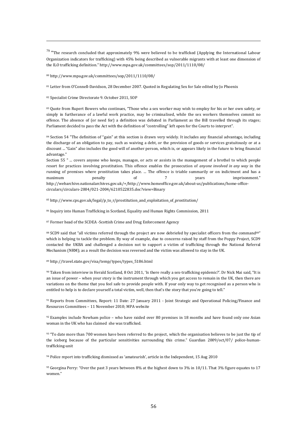$79$  "The research concluded that approximately 9% were believed to be trafficked (Applying the International Labour Organization indicators for trafficking) with 45% being described as vulnerable migrants with at least one dimension of the ILO trafficking definition." http://www.mpa.gov.uk/committees/sop/2011/1110/08/

80 http://www.mpa.gov.uk/committees/sop/2011/1110/08/

81 Letter from O'Connell-Davidson, 28 December 2007. Quoted in Regulating Sex for Sale edited by Jo Phoenix

82 Specialist Crime Directorate 9. October 2011, SOP

 $\overline{a}$ 

83 Quote from Rupert Bowers who continues, "Those who a sex worker may wish to employ for his or her own safety, or simply in furtherance of a lawful work practice, may be criminalised, while the sex workers themselves commit no offence. The absence of (or need for) a definition was debated in Parliament as the Bill travelled through its stages; Parliament decided to pass the Act with the definition of "controlling" left open for the Courts to interpret".

84 Section 54 "The definition of "gain" at this section is drawn very widely. It includes any financial advantage, including the discharge of an obligation to pay, such as waiving a debt, or the provision of goods or services gratuitously or at a discount ... "Gain" also includes the good will of another person, which is, or appears likely in the future to bring financial advantage."

Section 55 " ... covers anyone who keeps, manages, or acts or assists in the management of a brothel to which people resort for practices involving prostitution. This offence enables the prosecution of *anyone involved in any way* in the running of premises where prostitution takes place. ... The offence is triable summarily or on indictment and has a maximum penalty of 7 years imprisonment." http://webarchive.nationalarchives.gov.uk/+/http://www.homeoffice.gov.uk/about-us/publications/home-officecirculars/circulars-2004/021-2004/6210522835.doc?view=Binary

85 http://www.cps.gov.uk/legal/p\_to\_r/prostitution\_and\_exploitation\_of\_prostitution/

86 Inquiry into Human Trafficking in Scotland, Equality and Human Rights Commission, 2011

87 Former head of the SCDEA -Scottish Crime and Drug Enforcement Agency

88 SCD9 said that "all victims referred through the project are now debriefed by specialist officers from the command<sup>88"</sup> which is helping to tackle the problem. By way of example, due to concerns raised by staff from the Poppy Project, SCD9 contacted the UKBA and challenged a decision not to support a victim of trafficking through the National Referral Mechanism (NRM); as a result the decision was reversed and the victim was allowed to stay in the UK.

#### 89 http://travel.state.gov/visa/temp/types/types\_5186.html

90 Taken from interview in Herald Scotland, 8 Oct 2011, 'Is there really a sex-trafficking epidemic?'. Dr Nick Mai said, "It is an issue of power – when your story is the instrument through which you get access to remain in the UK, then there are variations on the theme that you feel safe to provide people with. If your only way to get recognised as a person who is entitled to help is to declare yourself a total victim, well, then that's the story that you're going to tell."

91 Reports from Committees, Report: 11 Date: 27 January 2011 - Joint Strategic and Operational Policing/Finance and Resources Committees – 11 November 2010; MPA website

 $92$  Examples include Newham police – who have raided over 80 premises in 18 months and have found only one Asian woman in the UK who has claimed she was trafficked.

93 "To date more than 700 women have been referred to the project, which the organisation believes to be just the tip of the iceberg because of the particular sensitivities surrounding this crime." Guardian 2009/oct/07/ police-humantrafficking-unit

94 Police report into trafficking dismissed as 'amateurish', article in the Independent, 15 Aug 2010

95 Georgina Perry: "Over the past 3 years between 8% at the highest down to 3% in 10/11. That 3% figure equates to 17 women."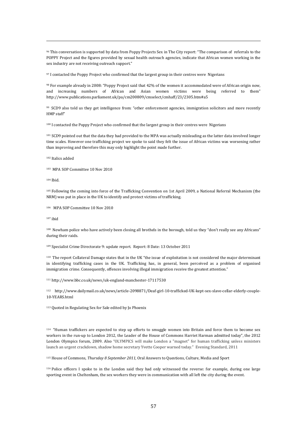96 This conversation is supported by data from Poppy Projects Sex in The City report: "The comparison of referrals to the POPPY Project and the figures provided by sexual health outreach agencies, indicate that African women working in the sex industry are not receiving outreach support."

97 I contacted the Poppy Project who confirmed that the largest group in their centres were Nigerians

98 For example already in 2008: "Poppy Project said that 42% of the women it accommodated were of African origin now, and increasing numbers of African and Asian women victims were being referred to them" http://www.publications.parliament.uk/pa/cm200809/cmselect/cmhaff/23/2305.htm#a5

99 SCD9 also told us they get intelligence from: "other enforcement agencies, immigration solicitors and more recently HMP staff"

100 I contacted the Poppy Project who confirmed that the largest group in their centres were Nigerians

101 SCD9 pointed out that the data they had provided to the MPA was actually misleading as the latter data involved longer time scales. However one trafficking project we spoke to said they felt the issue of African victims was worsening rather than improving and therefore this may only highlight the point made further.

102 Italics added

103 MPA SOP Committee 10 Nov 2010

104 Ibid.

 $\overline{a}$ 

105 Following the coming into force of the Trafficking Convention on 1st April 2009, a National Referral Mechanism (the NRM) was put in place in the UK to identify and protect victims of trafficking.

106 MPA SOP Committee 10 Nov 2010

107 ibid

108 Newham police who have actively been closing all brothels in the borough, told us they "don't really see any Africans" during their raids.

109 Specialist Crime Directorate 9: update report. Report: 8 Date: 13 October 2011

110 The report Collateral Damage states that in the UK "the issue of exploitation is not considered the major determinant in identifying trafficking cases in the UK. Trafficking has, in general, been perceived as a problem of organised immigration crime. Consequently, offences involving illegal immigration receive the greatest attention."

111 http://www.bbc.co.uk/news/uk-england-manchester-17117530

112 http://www.dailymail.co.uk/news/article-2098871/Deaf-girl-10-trafficked-UK-kept-sex-slave-cellar-elderly-couple-10-YEARS.html

113 Quoted in Regulating Sex for Sale edited by Jo Phoenix

114 "Human traffickers are expected to step up efforts to smuggle women into Britain and force them to become sex workers in the run-up to London 2012, the Leader of the House of Commons Harriet Harman admitted today", the 2012 London Olympics forum, 2009. Also "OLYMPICS will make London a "magnet" for human trafficking unless ministers launch an urgent crackdown, shadow home secretary Yvette Cooper warned today." Evening Standard, 2011

115 House of Commons, *Thursday 8 September 2011,* Oral Answers to Questions, Culture, Media and Sport

116 Police officers I spoke to in the London said they had only witnessed the reverse: for example, during one large sporting event in Cheltenham, the sex workers they were in communication with all left the city during the event.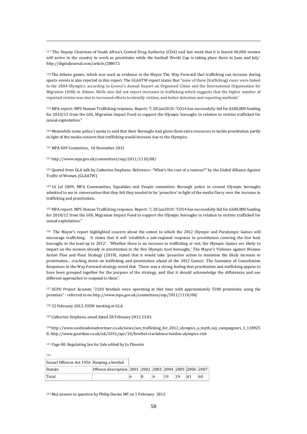117 'The Deputy Chairman of South Africa's Central Drug Authority (CDA) said last week that it is feared 40,000 women will arrive in the country to work as prostitutes while the football World Cup is taking place there in June and July.' http://digitaljournal.com/article/288672

118 The Athens games, which was used as evidence in the Mayor The Way Forward that trafficking can increase during sports events is also rejected in this report. The GLAATW report states that "none of these [trafficking] cases were linked to the 2004 Olympics, according to Greece's Annual Report on Organised Crime and the International Organisation for Migration (IOM) in Athens. NGOs also did not report increases in trafficking which suggests that the higher number of reported victims was due to increased efforts to identify victims, and better detection and reporting methods"

119 MPA report: MPS Human Trafficking response, Report: 7; 28 Jan2010: "CO14 has successfully bid for £600,000 funding for 2010/12 from the GOL Migration Impact Fund to support the Olympic boroughs in relation to victims trafficked for sexual exploitation."

120 Meanwhile some police I spoke to said that their Boroughs had given them extra resources to tackle prostitution partly in light of the media concern that trafficking would increase due to the Olympics.

121 MPA SOP Committee, 10 November 2011

 $\overline{a}$ 

122 http://www.mpa.gov.uk/committees/sop/2011/1110/08/

123 Quoted from GLA talk by Catherine Stephens. Reference -"What's the cost of a rumour?" by the Global Alliance Against Traffic of Women (GLAATW)

124 16 Jul 2009, MPA Communities, Equalities and People committee. Borough police in several Olympic boroughs admitted to me in conversation that they felt they needed to be 'proactive' in light of the media flurry over the increase in trafficking and prostitution.

125 MPA report: MPS Human Trafficking response, Report: 7; 28 Jan2010: "CO14 has successfully bid for £600,000 funding for 2010/12 from the GOL Migration Impact Fund to support the Olympic boroughs in relation to victims trafficked for sexual exploitation."

126 The Mayor's report highlighted concern about the extent to which the 2012 Olympic and Paralympic Games will encourage trafficking. It states that it will 'establish a sub-regional response to prostitution covering the five host boroughs in the lead-up to 2012'. 'Whether there is an increase in trafficking or not, the Olympic Games are likely to impact on the women already in prostitution in the five Olympic host boroughs.' The Mayor's Violence against Women Action Plan and Final Strategy (2010), stated that it would take 'proactive action to minimise the likely increase in prostitution... cracking down on trafficking and prostitution ahead of the 2012 Games'. The Summary of Consultation Responses to the Way Forward strategy noted that 'There was a strong feeling that prostitution and trafficking appear to have been grouped together for the purpose of the strategy, and that it should acknowledge the differences and use different approaches to respond to them".

127 ACPO Project Acumen "2103 brothels were operating at that time with approximately 5100 prostitutes using the premises" - referred to on http://www.mpa.gov.uk/committees/sop/2011/1110/08/

128 22 February 2012, IUSW meeting at GLA

129 Catherine Stephens, email dated 28 February 2012 23:01

<sup>130</sup> http://www.eastlondonadvertiser.co.uk/news/sex\_trafficking\_for\_2012\_olympics\_a\_myth\_say\_campaigners\_1\_118925 8; http://www.guardian.co.uk/uk/2011/apr/10/brothel-crackdown-london-olympics-risk

131 Page 80, Regulating Sex for Sale edited by Jo Phoenix

132 Sexual Offences Act 1956 Keeping a brothel Statute **Offence description 2001 2002 2003 2004 2005 2006 2007** Total 6 8 4 19 19 41 60

133 MoJ answer to question by Philip Davies MP on 1 February 2012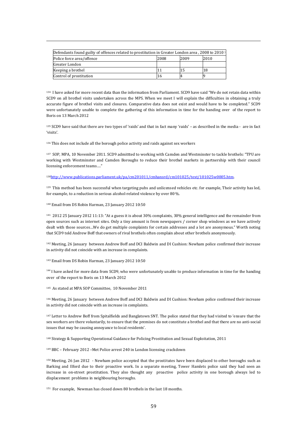| Defendants found guilty of offences related to prostitution in Greater London area, 2008 to 2010 |      |      |      |  |  |
|--------------------------------------------------------------------------------------------------|------|------|------|--|--|
| Police force area/offence                                                                        | 2008 | 2009 | 2010 |  |  |
| Greater London                                                                                   |      |      |      |  |  |
| Keeping a brothel                                                                                |      |      | 18   |  |  |
| Control of prostitution                                                                          | 16   |      |      |  |  |

134 I have asked for more recent data than the information from Parliament. SCD9 have said "We do not retain data within SCD9 on all brothel visits undertaken across the MPS. When we meet I will explain the difficulties in obtaining a truly accurate figure of brothel visits and closures. Comparative data does not exist and would have to be completed." SCD9 were unfortunately unable to complete the gathering of this information in time for the handing over of the report to Boris on 13 March 2012

135 SCD9 have said that there are two types of 'raids' and that in fact many 'raids' – as described in the media - are in fact 'visits'.

136 This does not include all the borough police activity and raids against sex workers

137 SOP, MPA, 10 November 2011. SCD9 admittted to working with Camden and Westminster to tackle brothels: "TPU are working with Westminster and Camden Boroughs to reduce their brothel markets in partnership with their council licensing enforcement teams…."

138http://www.publications.parliament.uk/pa/cm201011/cmhansrd/cm101025/text/101025w0005.htm.

139 This method has been successful when targeting pubs and unlicensed vehicles etc. for example, Their activity has led, for example, to a reduction in serious alcohol-related violence by over 80 %.

140 Email from DS Robin Harman, 23 January 2012 10:50

 $\overline{a}$ 

141 2012 25 January 2012 11:13: "At a guess it is about 30% complaints, 30% general intelligence and the remainder from open sources such as internet sites. Only a tiny amount is from newspapers / corner shop windows as we have actively dealt with those sources…We do get multiple complaints for certain addresses and a lot are anonymous." Worth noting that SCD9 told Andrew Boff that owners of rival brothels often complain about other brothels anonymously.

142 Meeting, 26 January between Andrew Boff and DCI Baldwin and DI Cushion: Newham police confirmed their increase in activity did not coincide with an increase in complaints.

143 Email from DS Robin Harman, 23 January 2012 10:50

<sup>144</sup> I have asked for more data from SCD9, who were unfortunately unable to produce information in time for the handing over of the report to Boris on 13 March 2012

145 As stated at MPA SOP Committee, 10 November 2011

146 Meeting, 26 January between Andrew Boff and DCI Baldwin and DI Cushion: Newham police confirmed their increase in activity did not coincide with an increase in complaints.

<sup>147</sup> Letter to Andrew Boff from Spitalfields and Banglatown SNT. The police stated that they had visited to 'ensure that the sex workers are there voluntarily, to ensure that the premises do not constitute a brothel and that there are no anti-social issues that may be causing annoyance to local residents'.

148 Strategy & Supporting Operational Guidance for Policing Prostitution and Sexual Exploitation, 2011

149 BBC – February 2012 –Met Police arrest 240 in London licensing crackdown

<sup>150</sup> Meeting, 26 Jan 2012 - Newham police accepted that the prostitutes have been displaced to other boroughs such as Barking and Ilford due to their proactive work. In a separate meeting, Tower Hamlets police said they had seen an increase in on-street prostitution. They also thought any proactive police activity in one borough always led to displacement problems in neighbouring boroughs.

151 For example, Newman has closed down 80 brothels in the last 18 months.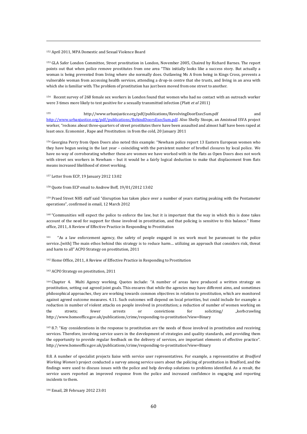#### 152 April 2011, MPA Domestic and Sexual Violence Board

 $\overline{a}$ 

153 GLA Safer London Committee, Street prostitution in London, November 2005, Chaired by Richard Barnes. The report points out that when police remove prostitutes from one area "This initially looks like a success story. But actually a woman is being prevented from living where she normally does. Outlawing Ms A from being in Kings Cross, prevents a vulnerable woman from accessing health services, attending a drop-in centre that she trusts, and living in an area with which she is familiar with. The problem of prostitution has just been moved from one street to another.

154 Recent survey of 268 female sex workers in London found that women who had no contact with an outreach worker were 3 times more likely to test positive for a sexually transmitted infection (Platt *et al* 2011)

<sup>155</sup> http://www.urbanjustice.org/pdf/publications/RevolvingDoorExecSum.pdf and http://www.urbanjustice.org/pdf/publications/BehindDoorsExecSum.pdf. Also Shelly Stoops, an Amistead ISVA project worker, "reckons about three-quarters of street prostitutes there have been assaulted and almost half have been raped at least once. Economist , Rape and Prostitution: in from the cold, 20 January 2011

156 Georgina Perry from Open Doors also noted this example: "Newham police report 13 Eastern European women who they have begun seeing in the last year – coinciding with the persistent number of brothel closures by local police. We have no way of corroborating whether these are women we have worked with in the flats as Open Doors does not work with street sex workers in Newham – but it would be a fairly logical deduction to make that displacement from flats means increased likelihood of street working.

157 Letter from ECP, 19 January 2012 13:02

158 Quote from ECP email to Andrew Boff, 19/01/2012 13:02

159 Praed Street NHS staff said "disruption has taken place over a number of years starting peaking with the Pentameter operations", confirmed in email, 12 March 2012

<sup>160</sup> "Communities will expect the police to enforce the law, but it is important that the way in which this is done takes account of the need for support for those involved in prostitution, and that policing is sensitive to this balance." Home office, 2011, A Review of Effective Practice in Responding to Prostitution

"As a law enforcement agency, the safety of people engaged in sex work must be paramount to the police service..[with] The main ethos behind this strategy is to reduce harm… utilizing an approach that considers risk, threat and harm to all" ACPO Strategy on prostitution, 2011

162 Home Office, 2011, A Review of Effective Practice in Responding to Prostitution

163 ACPO Strategy on prostitution, 2011

164 Chapter 4. Multi Agency working. Quotes include: "A number of areas have produced a written strategy on prostitution, setting out agreed joint goals. This ensures that while the agencies may have different aims, and sometimes philosophical approaches, they are working towards common objectives in relation to prostitution, which are monitored against agreed outcome measures. 4.11. Such outcomes will depend on local priorities, but could include for example: a reduction in number of violent attacks on people involved in prostitution; a reduction of number of women working on the streets; fewer arrests or convictions for soliciting/ "kerbcrawling http://www.homeoffice.gov.uk/publications/crime/responding-to-prostitution?view=Binary

165 8.7: "Key considerations in the response to prostitution are the needs of those involved in prostitution and receiving services. Therefore, involving service users in the development of strategies and quality standards, and providing them the opportunity to provide regular feedback on the delivery of services, are important elements of effective practice". http://www.homeoffice.gov.uk/publications/crime/responding-to-prostitution?view=Binary

8.8. A number of specialist projects liaise with service user representatives. For example, a representative at *Bradford Working Women's* project conducted a survey among service users about the policing of prostitution in Bradford, and the findings were used to discuss issues with the police and help develop solutions to problems identified. As a result, the service users reported an improved response from the police and increased confidence in engaging and reporting incidents to them.

166 Email, 28 February 2012 23:01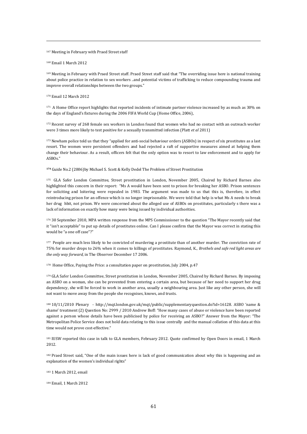167 Meeting in February with Praed Street staff

168 Email 1 March 2012

 $\overline{a}$ 

169 Meeting in February with Praed Street staff. Praed Street staff said that "The overriding issue here is national training about police practice in relation to sex workers ..and potential victims of trafficking to reduce compounding trauma and improve overall relationships between the two groups."

170 Email 12 March 2012

171 A Home Office report highlights that reported incidents of intimate partner violence increased by as much as 30% on the days of England's fixtures during the 2006 FIFA World Cup (Home Office, 2006),

172 Recent survey of 268 female sex workers in London found that women who had no contact with an outreach worker were 3 times more likely to test positive for a sexually transmitted infection (Platt *et al* 2011)

173 Newham police told us that they "applied for anti-social behaviour orders (ASBOs) in respect of six prostitutes as a last resort. The women were persistent offenders and had rejected a raft of supportive measures aimed at helping them change their behaviour. As a result, officers felt that the only option was to resort to law enforcement and to apply for ASBOs."

**<sup>174</sup>** Guide No.2 (2006)by Michael S. Scott & Kelly Dedel The Problem of Street Prostitution

175 GLA Safer London Committee, Street prostitution in London, November 2005, Chaired by Richard Barnes also highlighted this concern in their report: "Ms A would have been sent to prison for breaking her ASBO. Prison sentences for soliciting and loitering were repealed in 1983. The argument was made to us that this is, therefore, in effect reintroducing prison for an offence which is no longer imprisonable. We were told that help is what Ms A needs to break her drug hbit, not prison. We were concerned about the alleged use of ASBOs on prostitutes, particularly s there was a lack of information on exactly how many were being issued by individual authorities.

176 30 September 2010, MPA written response from the MPS Commissioner to the question "The Mayor recently said that it "isn't acceptable" to put up details of prostitutes online. Can I please confirm that the Mayor was correct in stating this would be "a one off case"?"

<sup>177</sup> People are much less likely to be convicted of murdering a prostitute than of another murder. The conviction rate of 75% for murder drops to 26% when it comes to killings of prostitutes. Raymond, K., *Brothels and safe red light areas are the only way forward,* in The Observer December 17 2006.

178 Home Office, Paying the Price: a consultation paper on prostitution, July 2004, p.47

179 GLA Safer London Committee, Street prostitution in London, November 2005, Chaired by Richard Barnes. By imposing an ASBO on a woman, she can be prevented from entering a certain area, but because of her need to support her drug dependency, she will be forced to work in another area, usually a neighbouring area. Just like any other person, she will not want to move away from the people she recognises, knows, and trusts.

180 10/11/2010 Plenary - http://mqt.london.gov.uk/mqt/public/supplementaryquestion.do?id=16128. ASBO 'name & shame' treatment (2) Question No: 2999 / 2010 Andrew Boff: "How many cases of abuse or violence have been reported against a person whose details have been publicised by police for receiving an ASBO?" Answer from the Mayor: "The Metropolitan Police Service does not hold data relating to this issue centrally and the manual collation of this data at this time would not prove cost-effective."

181 IUSW reported this case in talk to GLA members, February 2012. Quote confirmed by Open Doors in email, 1 March 2012.

182 Praed Street said, "One of the main issues here is lack of good communication about why this is happening and an explanation of the women's individual rights"

183 1 March 2012, email

184 Email, 1 March 2012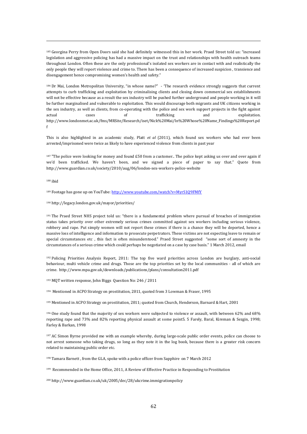185 Georgina Perry from Open Doors said she had definitely witnessed this in her work. Praed Street told us: "increased legislation and aggressive policing has had a massive impact on the trust and relationships with health outreach teams throughout London. Often these are the only professional's isolated sex workers are in contact with and realistically the only people they will report violence and crime to. There has been a consequence of increased suspicion , transience and disengagement hence compromising women's health and safety."

186 Dr Mai, London Metropolitan University, "in whose name?" - 'The research evidence strongly suggests that current attempts to curb trafficking and exploitation by criminalising clients and closing down commercial sex establishments will not be effective because as a result the sex industry will be pushed further underground and people working in it will be further marginalised and vulnerable to exploitation. This would discourage both migrants and UK citizens working in the sex industry, as well as clients, from co-operating with the police and sex work support projects in the fight against actual cases of trafficking and exploitation. http://www.londonmet.ac.uk/fms/MRSite/Research/iset/Nick%20Mai/In%20Whose%20Name\_Findings%20Report.pd f

This is also highlighted in an academic study, Platt *et al* (2011), which found sex workers who had ever been arrested/imprisoned were twice as likely to have experienced violence from clients in past year

 $187$  "The police were looking for money and found £50 from a customer.. The police kept asking us over and over again if we'd been trafficked. We haven't been, and we signed a piece of paper to say that." Quote from http://www.guardian.co.uk/society/2010/aug/06/london-sex-workers-police-website

188 ibid

 $\overline{a}$ 

<sup>189</sup> Footage has gone up on YouTube: http://www.youtube.com/watch?v=MyrS1O9FMfY

#### 190 http://legacy.london.gov.uk/mayor/priorities/

<sup>191</sup> The Praed Street NHS project told us: "there is a fundamental problem where pursual of breaches of immigration status takes priority over other extremely serious crimes committed against sex workers including serious violence, robbery and rape. Put simply women will not report these crimes if there is a chance they will be deported, hence a massive loss of intelligence and information to prosecute perpetrators. These victims are not expecting leave to remain or special circumstances etc , this fact is often misunderstood." Praed Street suggested "some sort of amnesty in the circumstances of a serious crime which could perhaps be negotiated on a case by case basis." 1 March 2012, email

192 Policing Priorities Analysis Report, 2011: The top five ward priorities across London are burglary, anti-social behaviour, multi vehicle crime and drugs. Those are the top priorities set by the local communities - all of which are crime. http://www.mpa.gov.uk/downloads/publications/plans/consultation2011.pdf

193 MQT written response, John Biggs Question No: 246 / 2011

194 Mentioned in ACPO Strategy on prostitution, 2011, quoted from 3 Lowman & Fraser, 1995

195 Mentioned in ACPO Strategy on prostitution, 2011; quoted from Church, Henderson, Barnard & Hart, 2001

196 One study found that the majority of sex workers were subjected to violence or assault, with between 62% and 68% reporting rape and 73% and 82% reporting physical assault at some point5. 5 Farely, Baral, Kireman & Sezgin, 1998; Farley & Barkan, 1998

<sup>197</sup> AC Simon Byrne provided me with an example whereby, during large-scale public order events, police can choose to not arrest someone who taking drugs, so long as they note it in the log book, because there is a greater risk concern related to maintaining public order etc.

198 Tamara Barnett , from the GLA, spoke with a police officer from Sapphire on 7 March 2012

199 Recommended in the Home Office, 2011, A Review of Effective Practice in Responding to Prostitution

200 http://www.guardian.co.uk/uk/2005/dec/28/ukcrime.immigrationpolicy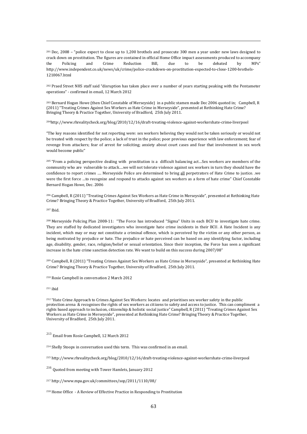201 Dec, 2008 – "police expect to close up to 1,200 brothels and prosecute 300 men a year under new laws designed to crack down on prostitution. The figures are contained in official Home Office impact assessments produced to accompany the Policing and Crime Reduction Bill, due to be debated by MPs" http://www.independent.co.uk/news/uk/crime/police-crackdown-on-prostitution-expected-to-close-1200-brothels-1210067.html

202 Praed Street NHS staff said "disruption has taken place over a number of years starting peaking with the Pentameter operations" - confirmed in email, 12 March 2012

203 Bernard Hogan Howe (then Chief Constable of Merseyside) in a public stamen made Dec 2006 quoted in; Campbell, R (2011) "Treating Crimes Against Sex Workers as Hate Crime in Merseyside", presented at Rethinking Hate Crime? Bringing Theory & Practice Together, University of Bradford, 25th July 2011.

204http://www.rhrealitycheck.org/blog/2010/12/16/draft-treating-violence-against-workershate-crime-liverpool

"The key reasons identified for not reporting were: sex workers believing they would not be taken seriously or would not be treated with respect by the police; a lack of trust in the police; poor previous experience with law enforcement; fear of revenge from attackers; fear of arrest for soliciting; anxiety about court cases and fear that involvement in sex work would become public"

205 "From a policing perspective dealing with prostitution is a difficult balancing act…Sex workers are members of the community who are vulnerable to attack….we will not tolerate violence against sex workers in turn they should have the confidence to report crimes …. Merseyside Police are determined to bring all perpetrators of Hate Crime to justice. .we were the first force …to recognize and respond to attacks against sex workers as a form of hate crime" Chief Constable Bernard Hogan Howe, Dec. 2006

206 Campbell, R (2011) "Treating Crimes Against Sex Workers as Hate Crime in Merseyside", presented at Rethinking Hate Crime? Bringing Theory & Practice Together, University of Bradford, 25th July 2011.

207 Ibid.

 $\overline{a}$ 

208 Merseyside Policing Plan 2008-11: "The Force has introduced "Sigma" Units in each BCU to investigate hate crime. They are staffed by dedicated investigators who investigate hate crime incidents in their BCU. A Hate Incident is any incident, which may or may not constitute a criminal offence, which is perceived by the victim or any other person, as being motivated by prejudice or hate. The prejudice or hate perceived can be based on any identifying factor, including age, disability, gender, race, religion/belief or sexual orientation. Since their inception, the Force has seen a significant increase in the hate crime sanction detection rate. We want to build on this success during 2007/08"

209 Campbell, R (2011) "Treating Crimes Against Sex Workers as Hate Crime in Merseyside", presented at Rethinking Hate Crime? Bringing Theory & Practice Together, University of Bradford, 25th July 2011.

210 Rosie Campbell in conversation 2 March 2012

211 ibid

212 "Hate Crime Approach to Crimes Against Sex Workers: locates and prioritises sex worker safety in the public protection arena & recognises the rights of sex workers as citizens to safety and access to justice. This can compliment a rights based approach to inclusion, citizenship & holistic social justice" Campbell, R (2011) "Treating Crimes Against Sex Workers as Hate Crime in Merseyside", presented at Rethinking Hate Crime? Bringing Theory & Practice Together, University of Bradford, 25th July 2011.

<sup>213</sup> Email from Rosie Campbell, 12 March 2012

214 Shelly Stoops in conversation used this term. This was confirmed in an email.

215 http://www.rhrealitycheck.org/blog/2010/12/16/draft-treating-violence-against-workershate-crime-liverpool

<sup>216</sup> Quoted from meeting with Tower Hamlets, January 2012

217 http://www.mpa.gov.uk/committees/sop/2011/1110/08/

218 Home Office - A Review of Effective Practice in Responding to Prostitution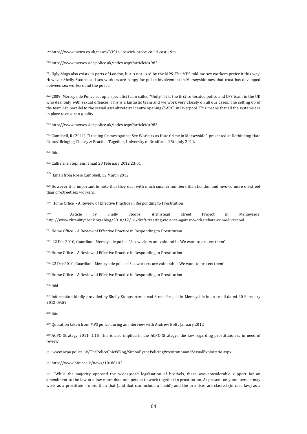219 http://www.metro.co.uk/news/33944-ipswich-probe-could-cost-19m

220 http://www.merseyside.police.uk/index.aspx?articleid=983

221 Ugly Mugs also exists in parts of London, but is not used by the MPS. The MPS told me sex workers prefer it this way. However Shelly Stoops said sex workers are happy for police involvement in Merseyside now that trust has developed between sex workers and the police.

222 2009, Merseyside Police set up a specialist team called "Unity". It is the first co-located police and CPS team in the UK who deal only with sexual offences. This is a fantastic team and we work very closely on all our cases. The setting up of the team ran parallel to the sexual assault referral centre opening (SARC) in Liverpool. This means that all the systems are in place to ensure a quality

223 http://www.merseyside.police.uk/index.aspx?articleid=983

224 Campbell, R (2011) "Treating Crimes Against Sex Workers as Hate Crime in Merseyside", presented at Rethinking Hate Crime? Bringing Theory & Practice Together, University of Bradford, 25th July 2011.

225 Ibid.

 $\overline{a}$ 

226 Catherine Stephens, email 28 February 2012 23:01

<sup>227</sup> Email from Rosie Campbell, 12 March 2012

228 However it is important to note that they deal with much smaller numbers than London and involve more on-street than off-street sex workers.

229 Home Office - A Review of Effective Practice in Responding to Prostitution

230 Article by Shelly Stoops, Armistead Street Project in Merseyside: http://www.rhrealitycheck.org/blog/2010/12/16/draft-treating-violence-against-workershate-crime-liverpool

231 Home Office - A Review of Effective Practice in Responding to Prostitution

232 22 Dec 2010, Guardian - Merseyside police: 'Sex workers are vulnerable. We want to protect them'

233 Home Office - A Review of Effective Practice in Responding to Prostitution

234 22 Dec 2010, Guardian - Merseyside police: 'Sex workers are vulnerable. We want to protect them'

235 Home Office - A Review of Effective Practice in Responding to Prostitution

236 ibid

<sup>237</sup> Information kindly provided by Shelly Stoops, Armistead Street Project in Merseyside in an email dated 20 February 2012 09:59

238 Ibid

239 Quotation taken from MPS police during an interview with Andrew Boff , January 2012

240 ACPO Strategy 2011- 1.15 This is also implied in the ACPO Strategy: 'the law regarding prostitution is in need of review'

241 www.acpo.police.uk/ThePoliceChiefsBlog/SimonByrnePolicingProstitutionandSexualExploitatio.aspx

242 http://www.bbc.co.uk/news/10188142

<sup>243</sup> "While the majority opposed the widespread legalisation of brothels, there was considerable support for an amendment to the law to allow more than one person to work together in prostitution. At present only one person may work as a prostitute – more than that (and that can include a 'maid') and the premises are classed (in case law) as a